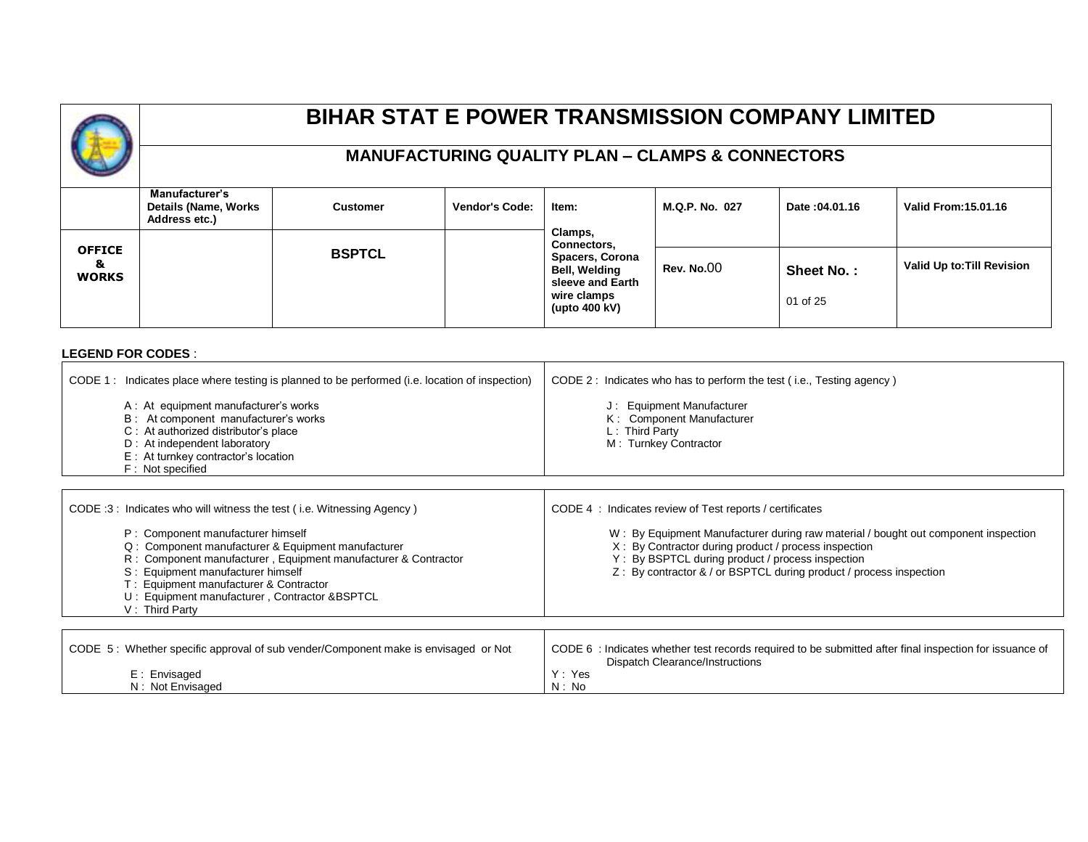# **BIHAR STAT E POWER TRANSMISSION COMPANY LIMITED**

#### **MANUFACTURING QUALITY PLAN – CLAMPS & CONNECTORS**

|                                    | <b>Manufacturer's</b><br>Details (Name, Works<br>Address etc.) | <b>Customer</b> | <b>Vendor's Code:</b> | Item:                                                       | M.Q.P. No. 027    | Date: 04.01.16 | <b>Valid From: 15.01.16</b> |
|------------------------------------|----------------------------------------------------------------|-----------------|-----------------------|-------------------------------------------------------------|-------------------|----------------|-----------------------------|
|                                    |                                                                |                 |                       | Clamps,<br>Connectors,                                      |                   |                |                             |
| <b>OFFICE</b><br>8<br><b>WORKS</b> |                                                                | <b>BSPTCL</b>   |                       | <b>Spacers, Corona</b><br>Bell, Welding<br>sleeve and Earth | <b>Rev. No.00</b> | Sheet No.:     | Valid Up to: Till Revision  |
|                                    |                                                                |                 |                       | wire clamps<br>(upto 400 kV)                                |                   | 01 of 25       |                             |

#### **LEGEND FOR CODES** :

| CODE 1: Indicates place where testing is planned to be performed (i.e. location of inspection)<br>A: At equipment manufacturer's works<br>B: At component manufacturer's works<br>C: At authorized distributor's place<br>D: At independent laboratory<br>E : At turnkey contractor's location<br>F: Not specified                                                                   | CODE 2: Indicates who has to perform the test (i.e., Testing agency)<br>J: Equipment Manufacturer<br>K: Component Manufacturer<br>L: Third Party<br>M: Turnkey Contractor                                                                                                                                                        |
|--------------------------------------------------------------------------------------------------------------------------------------------------------------------------------------------------------------------------------------------------------------------------------------------------------------------------------------------------------------------------------------|----------------------------------------------------------------------------------------------------------------------------------------------------------------------------------------------------------------------------------------------------------------------------------------------------------------------------------|
| CODE:3: Indicates who will witness the test (i.e. Witnessing Agency)<br>P: Component manufacturer himself<br>Q: Component manufacturer & Equipment manufacturer<br>R : Component manufacturer, Equipment manufacturer & Contractor<br>S: Equipment manufacturer himself<br>T: Equipment manufacturer & Contractor<br>U: Equipment manufacturer, Contractor &BSPTCL<br>V: Third Party | CODE 4 : Indicates review of Test reports / certificates<br>W: By Equipment Manufacturer during raw material / bought out component inspection<br>X: By Contractor during product / process inspection<br>Y: By BSPTCL during product / process inspection<br>Z: By contractor & / or BSPTCL during product / process inspection |
| CODE 5: Whether specific approval of sub vender/Component make is envisaged or Not<br>E: Envisaged<br>N: Not Envisaged                                                                                                                                                                                                                                                               | CODE 6 : Indicates whether test records required to be submitted after final inspection for issuance of<br>Dispatch Clearance/Instructions<br>Y: Yes<br>N: No                                                                                                                                                                    |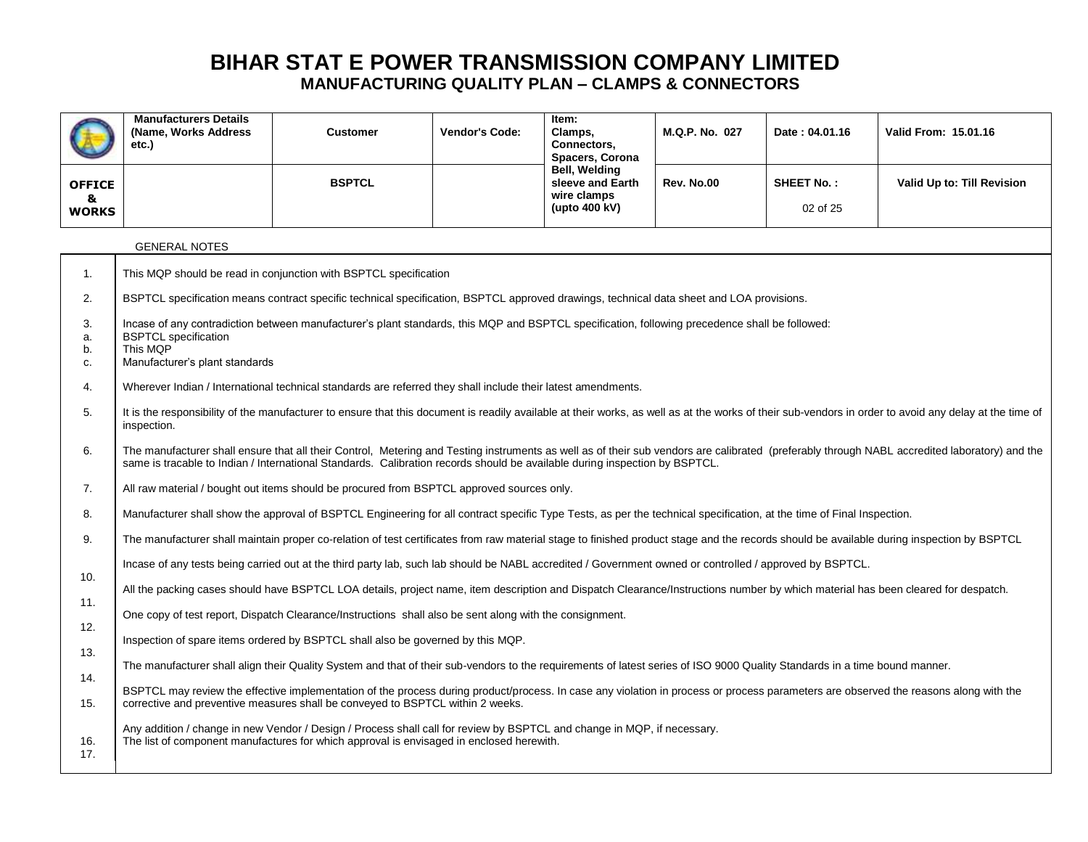|                      | <b>Manufacturers Details</b><br>(Name, Works Address<br>etc.)                                                                                                                                                         | <b>Customer</b>                                                                                                                                                                                                                                                        | Vendor's Code: | Item:<br>Clamps,<br>Connectors,<br><b>Spacers, Corona</b> | M.Q.P. No. 027    | Date: 04.01.16    | Valid From: 15.01.16                                                                                                                                                                          |  |  |  |  |  |  |  |
|----------------------|-----------------------------------------------------------------------------------------------------------------------------------------------------------------------------------------------------------------------|------------------------------------------------------------------------------------------------------------------------------------------------------------------------------------------------------------------------------------------------------------------------|----------------|-----------------------------------------------------------|-------------------|-------------------|-----------------------------------------------------------------------------------------------------------------------------------------------------------------------------------------------|--|--|--|--|--|--|--|
| <b>OFFICE</b>        |                                                                                                                                                                                                                       | <b>BSPTCL</b>                                                                                                                                                                                                                                                          |                | Bell, Welding<br>sleeve and Earth                         | <b>Rev. No.00</b> | <b>SHEET No.:</b> | Valid Up to: Till Revision                                                                                                                                                                    |  |  |  |  |  |  |  |
| &<br><b>WORKS</b>    |                                                                                                                                                                                                                       |                                                                                                                                                                                                                                                                        |                | wire clamps<br>(upto 400 kV)                              |                   | 02 of 25          |                                                                                                                                                                                               |  |  |  |  |  |  |  |
|                      | <b>GENERAL NOTES</b>                                                                                                                                                                                                  |                                                                                                                                                                                                                                                                        |                |                                                           |                   |                   |                                                                                                                                                                                               |  |  |  |  |  |  |  |
| 1.                   |                                                                                                                                                                                                                       | This MQP should be read in conjunction with BSPTCL specification                                                                                                                                                                                                       |                |                                                           |                   |                   |                                                                                                                                                                                               |  |  |  |  |  |  |  |
| 2.                   |                                                                                                                                                                                                                       | BSPTCL specification means contract specific technical specification, BSPTCL approved drawings, technical data sheet and LOA provisions.                                                                                                                               |                |                                                           |                   |                   |                                                                                                                                                                                               |  |  |  |  |  |  |  |
| 3.<br>a.<br>b.<br>C. | <b>BSPTCL</b> specification<br>This MQP<br>Manufacturer's plant standards                                                                                                                                             | Incase of any contradiction between manufacturer's plant standards, this MQP and BSPTCL specification, following precedence shall be followed:                                                                                                                         |                |                                                           |                   |                   |                                                                                                                                                                                               |  |  |  |  |  |  |  |
| 4.                   |                                                                                                                                                                                                                       | Wherever Indian / International technical standards are referred they shall include their latest amendments.                                                                                                                                                           |                |                                                           |                   |                   |                                                                                                                                                                                               |  |  |  |  |  |  |  |
| 5.                   | It is the responsibility of the manufacturer to ensure that this document is readily available at their works, as well as at the works of their sub-vendors in order to avoid any delay at the time of<br>inspection. |                                                                                                                                                                                                                                                                        |                |                                                           |                   |                   |                                                                                                                                                                                               |  |  |  |  |  |  |  |
| 6.                   |                                                                                                                                                                                                                       | same is tracable to Indian / International Standards. Calibration records should be available during inspection by BSPTCL.                                                                                                                                             |                |                                                           |                   |                   | The manufacturer shall ensure that all their Control, Metering and Testing instruments as well as of their sub vendors are calibrated (preferably through NABL accredited laboratory) and the |  |  |  |  |  |  |  |
| 7.                   |                                                                                                                                                                                                                       | All raw material / bought out items should be procured from BSPTCL approved sources only.                                                                                                                                                                              |                |                                                           |                   |                   |                                                                                                                                                                                               |  |  |  |  |  |  |  |
| 8.                   |                                                                                                                                                                                                                       | Manufacturer shall show the approval of BSPTCL Engineering for all contract specific Type Tests, as per the technical specification, at the time of Final Inspection.                                                                                                  |                |                                                           |                   |                   |                                                                                                                                                                                               |  |  |  |  |  |  |  |
| 9.                   |                                                                                                                                                                                                                       | The manufacturer shall maintain proper co-relation of test certificates from raw material stage to finished product stage and the records should be available during inspection by BSPTCL                                                                              |                |                                                           |                   |                   |                                                                                                                                                                                               |  |  |  |  |  |  |  |
| 10.                  |                                                                                                                                                                                                                       | Incase of any tests being carried out at the third party lab, such lab should be NABL accredited / Government owned or controlled / approved by BSPTCL.                                                                                                                |                |                                                           |                   |                   |                                                                                                                                                                                               |  |  |  |  |  |  |  |
| 11.                  |                                                                                                                                                                                                                       | All the packing cases should have BSPTCL LOA details, project name, item description and Dispatch Clearance/Instructions number by which material has been cleared for despatch.                                                                                       |                |                                                           |                   |                   |                                                                                                                                                                                               |  |  |  |  |  |  |  |
| 12.                  |                                                                                                                                                                                                                       | One copy of test report, Dispatch Clearance/Instructions shall also be sent along with the consignment.                                                                                                                                                                |                |                                                           |                   |                   |                                                                                                                                                                                               |  |  |  |  |  |  |  |
| 13.                  |                                                                                                                                                                                                                       | Inspection of spare items ordered by BSPTCL shall also be governed by this MQP.                                                                                                                                                                                        |                |                                                           |                   |                   |                                                                                                                                                                                               |  |  |  |  |  |  |  |
| 14.                  |                                                                                                                                                                                                                       | The manufacturer shall align their Quality System and that of their sub-vendors to the requirements of latest series of ISO 9000 Quality Standards in a time bound manner.                                                                                             |                |                                                           |                   |                   |                                                                                                                                                                                               |  |  |  |  |  |  |  |
| 15.                  |                                                                                                                                                                                                                       | BSPTCL may review the effective implementation of the process during product/process. In case any violation in process or process parameters are observed the reasons along with the<br>corrective and preventive measures shall be conveyed to BSPTCL within 2 weeks. |                |                                                           |                   |                   |                                                                                                                                                                                               |  |  |  |  |  |  |  |
| 16.<br>17.           |                                                                                                                                                                                                                       | Any addition / change in new Vendor / Design / Process shall call for review by BSPTCL and change in MQP, if necessary.<br>The list of component manufactures for which approval is envisaged in enclosed herewith.                                                    |                |                                                           |                   |                   |                                                                                                                                                                                               |  |  |  |  |  |  |  |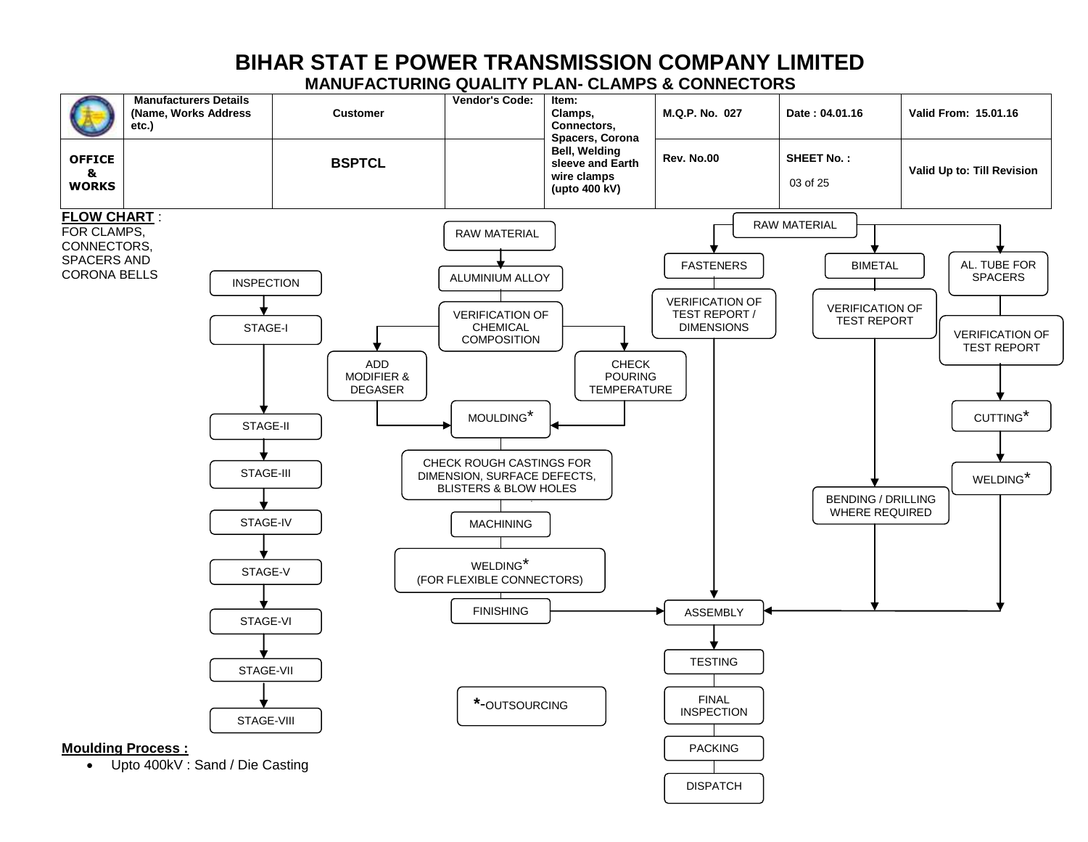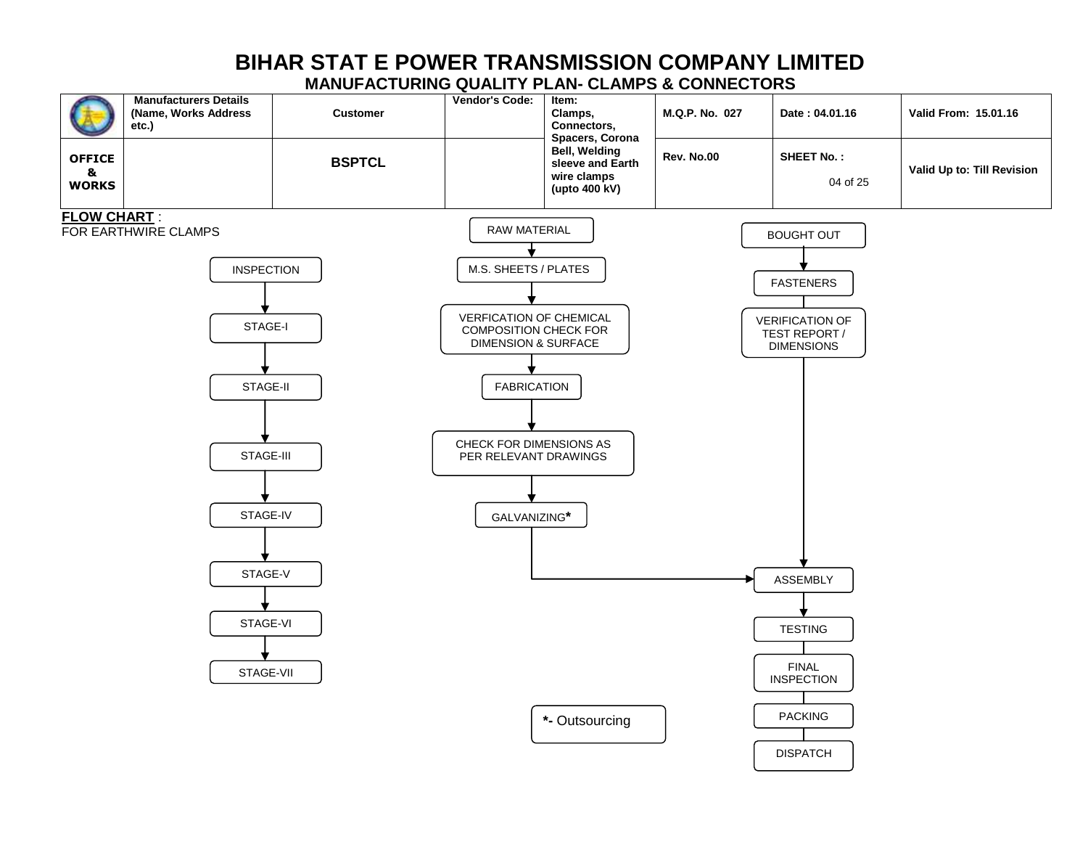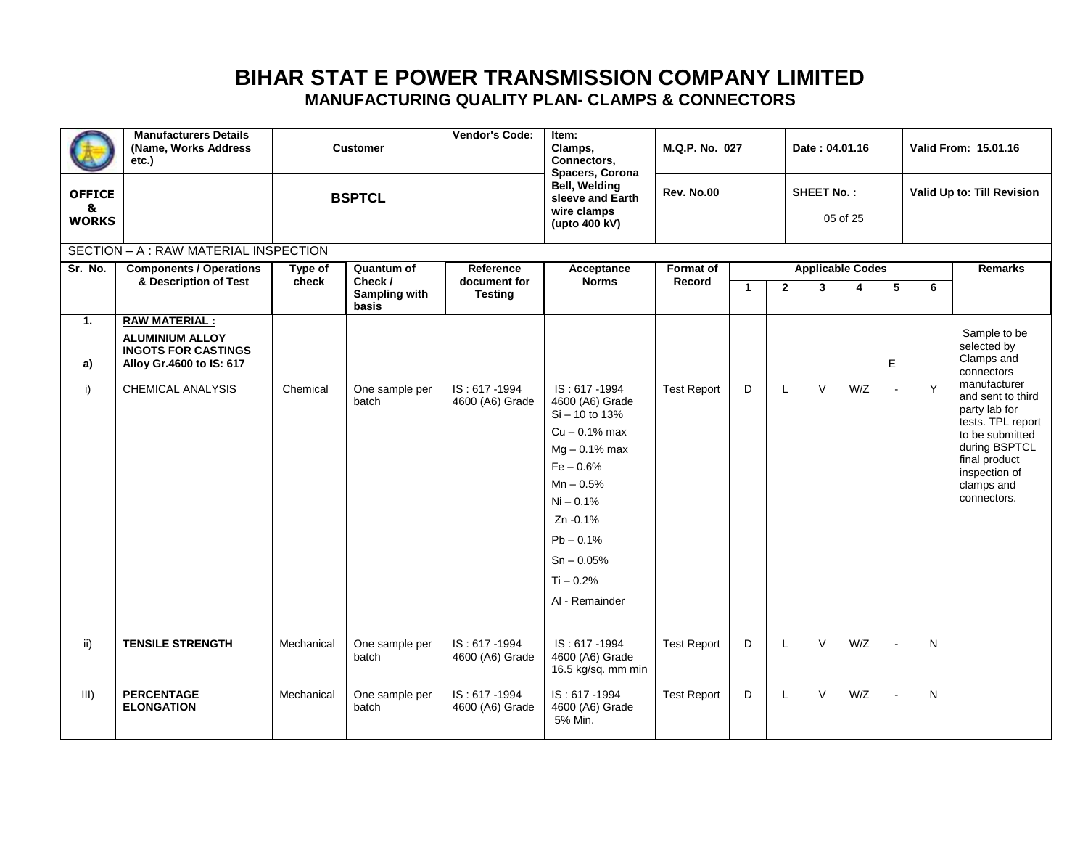|                                     | <b>Manufacturers Details</b><br>(Name. Works Address)<br>etc.)                                           |                  | <b>Customer</b>               | Vendor's Code:                  | Item:<br>Clamps,<br>Connectors,<br>Spacers, Corona                                                                                                                                                                 | M.Q.P. No. 027             |              | Date: 04.01.16 |                   |                         | Valid From: 15.01.16 |   |                                                                                                                                                                            |
|-------------------------------------|----------------------------------------------------------------------------------------------------------|------------------|-------------------------------|---------------------------------|--------------------------------------------------------------------------------------------------------------------------------------------------------------------------------------------------------------------|----------------------------|--------------|----------------|-------------------|-------------------------|----------------------|---|----------------------------------------------------------------------------------------------------------------------------------------------------------------------------|
| <b>OFFICE</b><br>8.<br><b>WORKS</b> |                                                                                                          |                  | <b>BSPTCL</b>                 |                                 | Bell, Welding<br>sleeve and Earth<br>wire clamps<br>(upto 400 kV)                                                                                                                                                  | <b>Rev. No.00</b>          |              |                | <b>SHEET No.:</b> | 05 of 25                |                      |   | Valid Up to: Till Revision                                                                                                                                                 |
|                                     | SECTION - A : RAW MATERIAL INSPECTION                                                                    |                  |                               |                                 |                                                                                                                                                                                                                    |                            |              |                |                   |                         |                      |   |                                                                                                                                                                            |
| Sr. No.                             | <b>Components / Operations</b><br>& Description of Test                                                  | Type of<br>check | Quantum of<br>Check /         | Reference<br>document for       | Acceptance<br><b>Norms</b>                                                                                                                                                                                         | <b>Format of</b><br>Record |              |                |                   | <b>Applicable Codes</b> |                      |   | <b>Remarks</b>                                                                                                                                                             |
|                                     |                                                                                                          |                  | <b>Sampling with</b><br>basis | <b>Testing</b>                  |                                                                                                                                                                                                                    |                            | $\mathbf{1}$ | $\overline{2}$ | 3                 | 4                       | 5                    | 6 |                                                                                                                                                                            |
| 1.<br>a)                            | <b>RAW MATERIAL:</b><br><b>ALUMINIUM ALLOY</b><br><b>INGOTS FOR CASTINGS</b><br>Alloy Gr.4600 to IS: 617 |                  |                               |                                 |                                                                                                                                                                                                                    |                            |              |                |                   |                         | E                    |   | Sample to be<br>selected by<br>Clamps and<br>connectors                                                                                                                    |
| i)                                  | <b>CHEMICAL ANALYSIS</b>                                                                                 | Chemical         | One sample per<br>batch       | IS: 617-1994<br>4600 (A6) Grade | IS: 617-1994<br>4600 (A6) Grade<br>Si - 10 to 13%<br>$Cu - 0.1\%$ max<br>$Mg - 0.1%$ max<br>$Fe - 0.6%$<br>$Mn - 0.5%$<br>$Ni - 0.1%$<br>Zn -0.1%<br>$Pb - 0.1%$<br>$Sn - 0.05\%$<br>$Ti - 0.2%$<br>Al - Remainder | <b>Test Report</b>         | D            | L              | $\vee$            | W/Z                     | $\sim$               | Y | manufacturer<br>and sent to third<br>party lab for<br>tests. TPL report<br>to be submitted<br>during BSPTCL<br>final product<br>inspection of<br>clamps and<br>connectors. |
| ii)                                 | <b>TENSILE STRENGTH</b>                                                                                  | Mechanical       | One sample per<br>batch       | IS: 617-1994<br>4600 (A6) Grade | IS: 617-1994<br>4600 (A6) Grade<br>16.5 kg/sq. mm min                                                                                                                                                              | <b>Test Report</b>         | D            | L              | $\vee$            | W/Z                     | $\overline{a}$       | N |                                                                                                                                                                            |
| III)                                | <b>PERCENTAGE</b><br><b>ELONGATION</b>                                                                   | Mechanical       | One sample per<br>batch       | IS: 617-1994<br>4600 (A6) Grade | IS: 617-1994<br>4600 (A6) Grade<br>5% Min.                                                                                                                                                                         | <b>Test Report</b>         | D            | $\mathsf L$    | $\vee$            | W/Z                     | $\blacksquare$       | N |                                                                                                                                                                            |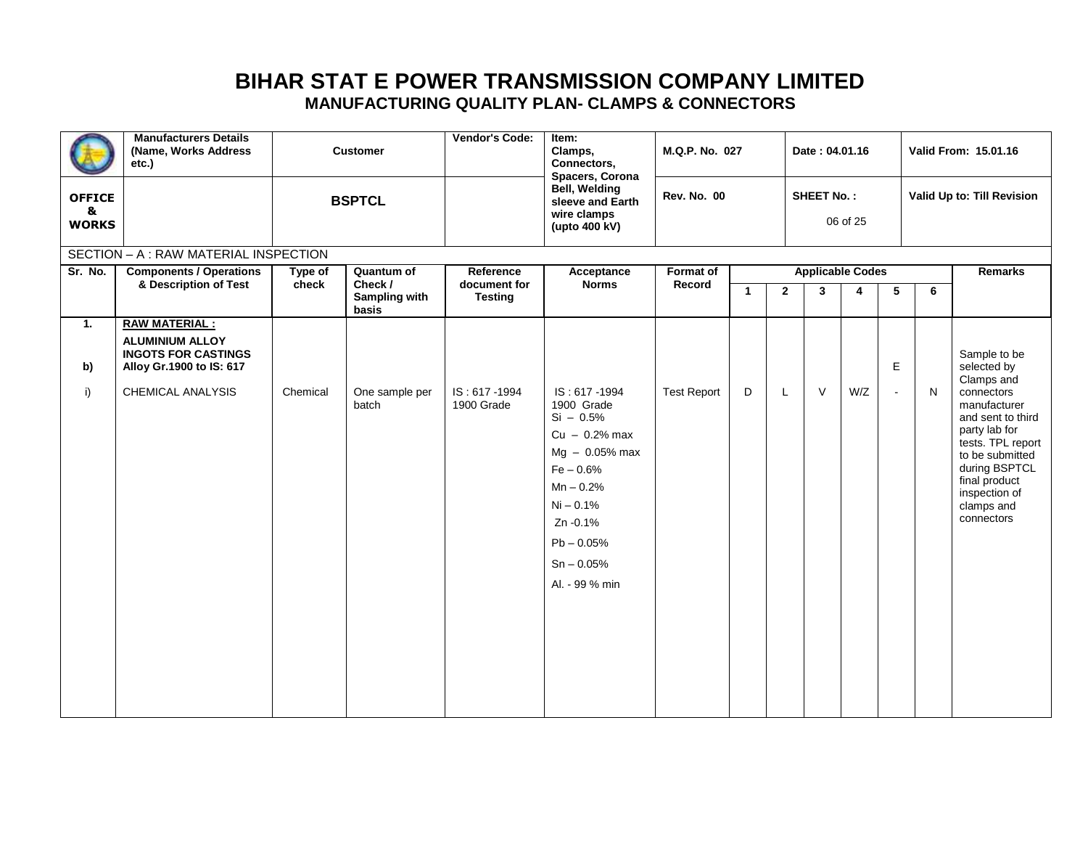| <b>OFFICE</b>     | <b>Manufacturers Details</b><br>(Name, Works Address)<br>etc.)               |          | <b>Customer</b>                          | Vendor's Code:                 | Item:<br>Clamps,<br>Connectors,<br>Spacers, Corona<br>Bell, Welding                                                                                                                        | M.Q.P. No. 027<br><b>Rev. No. 00</b> |              |                | Date: 04.01.16<br><b>SHEET No.:</b> |                         |                |              | Valid From: 15.01.16<br>Valid Up to: Till Revision                                                                                                                                                    |
|-------------------|------------------------------------------------------------------------------|----------|------------------------------------------|--------------------------------|--------------------------------------------------------------------------------------------------------------------------------------------------------------------------------------------|--------------------------------------|--------------|----------------|-------------------------------------|-------------------------|----------------|--------------|-------------------------------------------------------------------------------------------------------------------------------------------------------------------------------------------------------|
| &<br><b>WORKS</b> |                                                                              |          | <b>BSPTCL</b>                            |                                | sleeve and Earth<br>wire clamps<br>(upto 400 kV)                                                                                                                                           |                                      |              |                |                                     | 06 of 25                |                |              |                                                                                                                                                                                                       |
|                   | SECTION - A: RAW MATERIAL INSPECTION                                         |          |                                          |                                |                                                                                                                                                                                            |                                      |              |                |                                     |                         |                |              |                                                                                                                                                                                                       |
| Sr. No.           | <b>Components / Operations</b>                                               | Type of  | <b>Quantum of</b>                        | Reference                      | Acceptance                                                                                                                                                                                 | <b>Format of</b>                     |              |                |                                     | <b>Applicable Codes</b> |                |              | Remarks                                                                                                                                                                                               |
|                   | & Description of Test                                                        | check    | Check /<br><b>Sampling with</b><br>basis | document for<br><b>Testing</b> | <b>Norms</b>                                                                                                                                                                               | Record                               | $\mathbf{1}$ | $\overline{2}$ | 3                                   | 4                       | 5              | 6            |                                                                                                                                                                                                       |
| 1.                | <b>RAW MATERIAL:</b><br><b>ALUMINIUM ALLOY</b><br><b>INGOTS FOR CASTINGS</b> |          |                                          |                                |                                                                                                                                                                                            |                                      |              |                |                                     |                         |                |              |                                                                                                                                                                                                       |
| b)                | Alloy Gr.1900 to IS: 617                                                     |          |                                          |                                |                                                                                                                                                                                            |                                      |              |                |                                     |                         | E              |              | Sample to be<br>selected by                                                                                                                                                                           |
| i)                | CHEMICAL ANALYSIS                                                            | Chemical | One sample per<br>batch                  | IS: 617-1994<br>1900 Grade     | IS: 617-1994<br>1900 Grade<br>$Si - 0.5%$<br>$Cu - 0.2%$ max<br>$Mg - 0.05\%$ max<br>$Fe - 0.6%$<br>$Mn - 0.2%$<br>Ni - 0.1%<br>Zn -0.1%<br>$Pb - 0.05%$<br>$Sn - 0.05%$<br>Al. - 99 % min | <b>Test Report</b>                   | D            | L              | $\vee$                              | W/Z                     | $\blacksquare$ | $\mathsf{N}$ | Clamps and<br>connectors<br>manufacturer<br>and sent to third<br>party lab for<br>tests. TPL report<br>to be submitted<br>during BSPTCL<br>final product<br>inspection of<br>clamps and<br>connectors |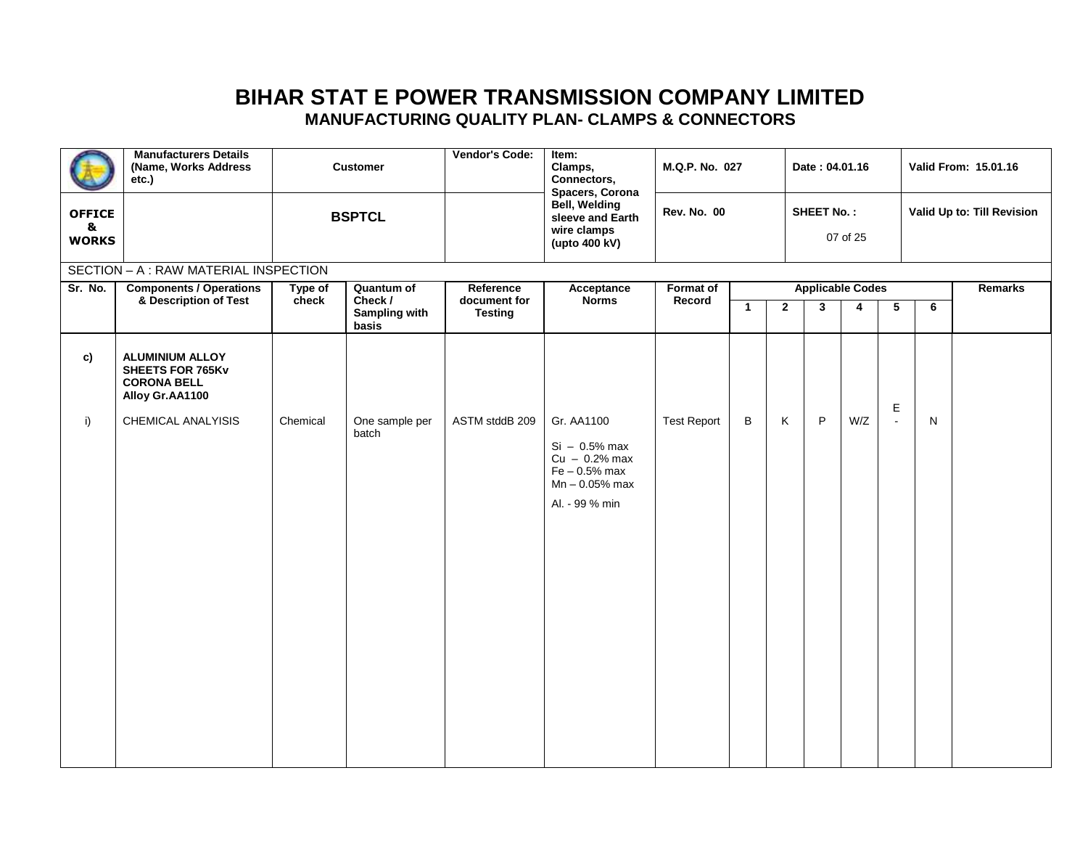|                                    | <b>Manufacturers Details</b><br>(Name, Works Address<br>etc.)                              |                  | <b>Vendor's Code:</b><br><b>Customer</b>               |                                             | $Item$ :<br>Clamps,<br>Connectors,<br>Spacers, Corona                                                     | M.Q.P. No. 027             |              |                | Date: 04.01.16               |          |               | Valid From: 15.01.16       |         |  |
|------------------------------------|--------------------------------------------------------------------------------------------|------------------|--------------------------------------------------------|---------------------------------------------|-----------------------------------------------------------------------------------------------------------|----------------------------|--------------|----------------|------------------------------|----------|---------------|----------------------------|---------|--|
| <b>OFFICE</b><br>&<br><b>WORKS</b> |                                                                                            |                  | <b>BSPTCL</b>                                          |                                             | Bell, Welding<br>sleeve and Earth<br>wire clamps<br>(upto 400 kV)                                         | <b>Rev. No. 00</b>         |              |                | <b>SHEET No.:</b>            | 07 of 25 |               | Valid Up to: Till Revision |         |  |
|                                    | SECTION - A: RAW MATERIAL INSPECTION                                                       |                  |                                                        |                                             |                                                                                                           |                            |              |                |                              |          |               |                            |         |  |
| Sr. No.                            | <b>Components / Operations</b><br>& Description of Test                                    | Type of<br>check | Quantum of<br>Check /<br><b>Sampling with</b><br>basis | Reference<br>document for<br><b>Testing</b> | Acceptance<br><b>Norms</b>                                                                                | <b>Format of</b><br>Record | $\mathbf{1}$ | $\overline{2}$ | <b>Applicable Codes</b><br>3 | 4        | 5             | 6                          | Remarks |  |
| c)                                 | <b>ALUMINIUM ALLOY</b><br><b>SHEETS FOR 765Kv</b><br><b>CORONA BELL</b><br>Alloy Gr.AA1100 |                  |                                                        |                                             |                                                                                                           |                            |              |                |                              |          |               |                            |         |  |
| i)                                 | CHEMICAL ANALYISIS                                                                         | Chemical         | One sample per<br>batch                                | ASTM stddB 209                              | Gr. AA1100<br>$Si - 0.5%$ max<br>$Cu - 0.2%$ max<br>$Fe - 0.5%$ max<br>$Mn - 0.05%$ max<br>Al. - 99 % min | <b>Test Report</b>         | В            | Κ              | P                            | W/Z      | Е<br>$\omega$ | N                          |         |  |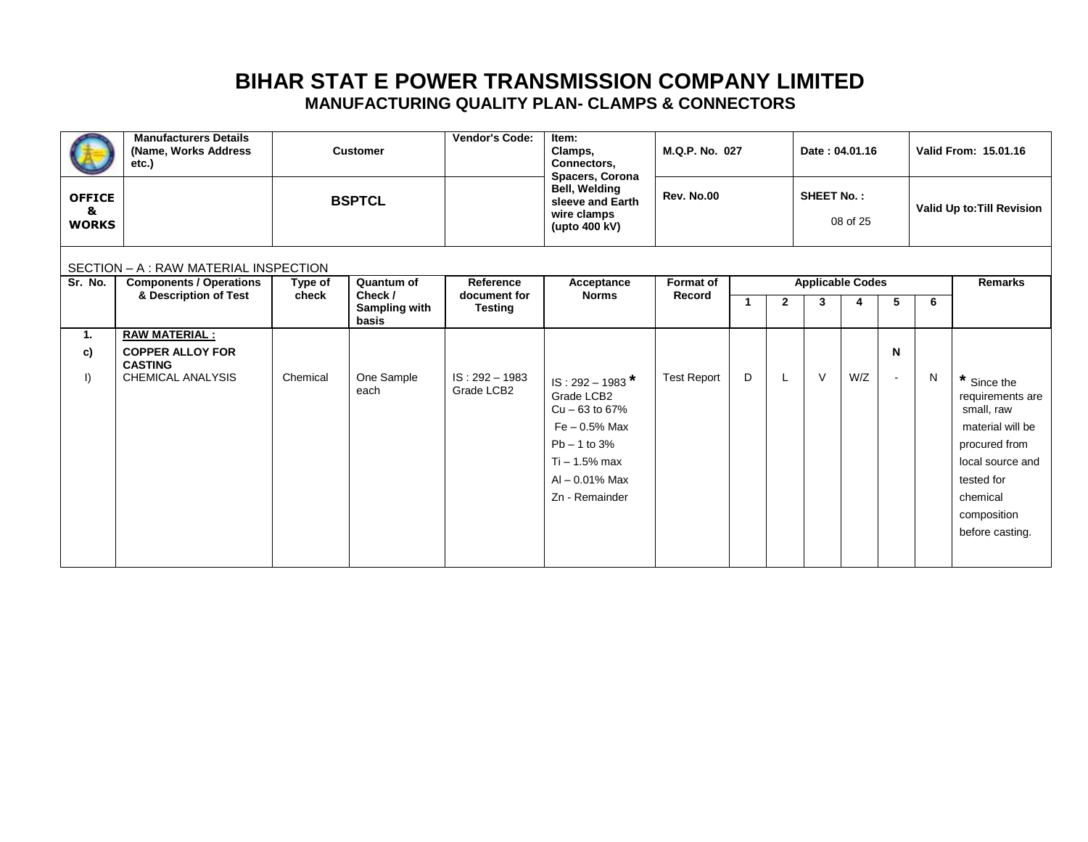|                                    | <b>Manufacturers Details</b><br>(Name, Works Address)<br>etc.) |                  | <b>Customer</b>               | Vendor's Code:                 | Item:<br>Clamps,<br>Connectors,<br>Spacers, Corona                         | M.Q.P. No. 027                    |   |              |                   | Date: 04.01.16          |        |   | Valid From: 15.01.16                          |
|------------------------------------|----------------------------------------------------------------|------------------|-------------------------------|--------------------------------|----------------------------------------------------------------------------|-----------------------------------|---|--------------|-------------------|-------------------------|--------|---|-----------------------------------------------|
| <b>OFFICE</b><br>&<br><b>WORKS</b> |                                                                |                  | <b>BSPTCL</b>                 |                                | <b>Bell, Welding</b><br>sleeve and Earth<br>wire clamps<br>(upto $400$ kV) | Rev. No.00                        |   |              | <b>SHEET No.:</b> | 08 of 25                |        |   | Valid Up to: Till Revision                    |
|                                    | SECTION - A : RAW MATERIAL INSPECTION                          |                  |                               |                                |                                                                            |                                   |   |              |                   |                         |        |   |                                               |
| Sr. No.                            | <b>Components / Operations</b><br>& Description of Test        | Type of<br>check | Quantum of<br>Check /         | Reference<br>document for      | Acceptance<br><b>Norms</b>                                                 | <b>Format of</b><br><b>Record</b> |   |              |                   | <b>Applicable Codes</b> |        |   | <b>Remarks</b>                                |
|                                    |                                                                |                  | <b>Sampling with</b><br>basis | <b>Testing</b>                 |                                                                            |                                   |   | $\mathbf{2}$ | 3                 | 4                       | 5      | 6 |                                               |
| 1.                                 | <b>RAW MATERIAL:</b>                                           |                  |                               |                                |                                                                            |                                   |   |              |                   |                         |        |   |                                               |
| c)                                 | <b>COPPER ALLOY FOR</b><br><b>CASTING</b>                      |                  |                               |                                |                                                                            |                                   |   |              |                   |                         | N      |   |                                               |
| $\vert$                            | <b>CHEMICAL ANALYSIS</b>                                       | Chemical         | One Sample<br>each            | $IS: 292 - 1983$<br>Grade LCB2 | $IS: 292 - 1983$ <sup>*</sup><br>Grade LCB2<br>$Cu - 63$ to 67%            | <b>Test Report</b>                | D | L            | $\vee$            | W/Z                     | $\sim$ | N | * Since the<br>requirements are<br>small, raw |
|                                    |                                                                |                  |                               |                                | $Fe - 0.5%$ Max                                                            |                                   |   |              |                   |                         |        |   | material will be                              |
|                                    |                                                                |                  |                               |                                | $Pb - 1$ to 3%                                                             |                                   |   |              |                   |                         |        |   | procured from                                 |
|                                    |                                                                |                  |                               |                                | $Ti - 1.5%$ max                                                            |                                   |   |              |                   |                         |        |   | local source and                              |
|                                    |                                                                |                  |                               |                                | $Al - 0.01\%$ Max                                                          |                                   |   |              |                   |                         |        |   | tested for                                    |
|                                    |                                                                |                  |                               |                                | Zn - Remainder                                                             |                                   |   |              |                   |                         |        |   | chemical                                      |
|                                    |                                                                |                  |                               |                                |                                                                            |                                   |   |              |                   |                         |        |   | composition                                   |
|                                    |                                                                |                  |                               |                                |                                                                            |                                   |   |              |                   |                         |        |   | before casting.                               |
|                                    |                                                                |                  |                               |                                |                                                                            |                                   |   |              |                   |                         |        |   |                                               |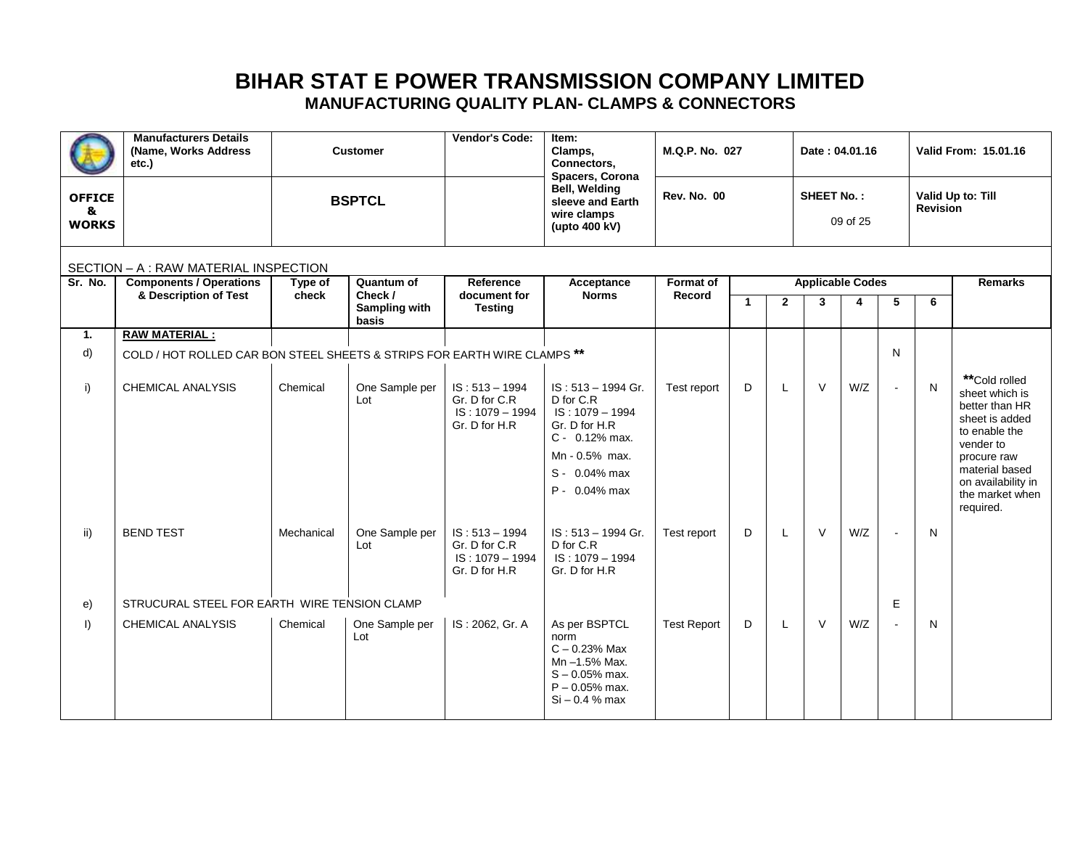|                                    | <b>Manufacturers Details</b><br>(Name, Works Address<br>etc.)            |                  | <b>Customer</b>                                 | <b>Vendor's Code:</b>                                                   | Item:<br>Clamps,<br>Connectors,<br>Spacers, Corona                                                                    | M.Q.P. No. 027             |              |                | Date: 04.01.16               |          |   |                 | Valid From: 15.01.16                                                                              |
|------------------------------------|--------------------------------------------------------------------------|------------------|-------------------------------------------------|-------------------------------------------------------------------------|-----------------------------------------------------------------------------------------------------------------------|----------------------------|--------------|----------------|------------------------------|----------|---|-----------------|---------------------------------------------------------------------------------------------------|
| <b>OFFICE</b><br>&<br><b>WORKS</b> |                                                                          |                  | <b>BSPTCL</b>                                   |                                                                         | Bell, Welding<br>sleeve and Earth<br>wire clamps<br>(upto 400 kV)                                                     | <b>Rev. No. 00</b>         |              |                | <b>SHEET No.:</b>            | 09 of 25 |   | <b>Revision</b> | Valid Up to: Till                                                                                 |
|                                    | SECTION - A : RAW MATERIAL INSPECTION                                    |                  |                                                 |                                                                         |                                                                                                                       |                            |              |                |                              |          |   |                 |                                                                                                   |
| Sr. No.                            | <b>Components / Operations</b><br>& Description of Test                  | Type of<br>check | Quantum of<br>Check /<br>Sampling with<br>basis | Reference<br>document for<br><b>Testing</b>                             | Acceptance<br><b>Norms</b>                                                                                            | <b>Format of</b><br>Record | $\mathbf{1}$ | $\overline{2}$ | <b>Applicable Codes</b><br>3 | 4        | 5 | 6               | <b>Remarks</b>                                                                                    |
| 1.                                 | <b>RAW MATERIAL:</b>                                                     |                  |                                                 |                                                                         |                                                                                                                       |                            |              |                |                              |          |   |                 |                                                                                                   |
| d)                                 | COLD / HOT ROLLED CAR BON STEEL SHEETS & STRIPS FOR EARTH WIRE CLAMPS ** |                  |                                                 |                                                                         |                                                                                                                       |                            |              |                |                              |          | N |                 |                                                                                                   |
| i)                                 | <b>CHEMICAL ANALYSIS</b>                                                 | Chemical         | One Sample per<br>Lot                           | $IS: 513 - 1994$<br>Gr. D for C.R<br>$IS: 1079 - 1994$<br>Gr. D for H.R | IS: 513 - 1994 Gr.<br>D for C.R<br>IS: 1079 - 1994<br>Gr. D for H.R<br>C - 0.12% max.<br>Mn - 0.5% max.               | Test report                | D            | L              | $\vee$                       | W/Z      |   | N               | **Cold rolled<br>sheet which is<br>better than HR<br>sheet is added<br>to enable the<br>vender to |
|                                    |                                                                          |                  |                                                 |                                                                         | S - 0.04% max                                                                                                         |                            |              |                |                              |          |   |                 | procure raw<br>material based                                                                     |
|                                    |                                                                          |                  |                                                 |                                                                         | P - 0.04% max                                                                                                         |                            |              |                |                              |          |   |                 | on availability in<br>the market when<br>required.                                                |
| ii)                                | <b>BEND TEST</b>                                                         | Mechanical       | One Sample per<br>Lot                           | $IS: 513 - 1994$<br>Gr. D for C.R<br>$IS: 1079 - 1994$<br>Gr. D for H.R | IS: 513 - 1994 Gr.<br>D for C.R<br>$IS: 1079 - 1994$<br>Gr. D for H.R                                                 | Test report                | D            | L              | $\vee$                       | W/Z      |   | N               |                                                                                                   |
| e)                                 | STRUCURAL STEEL FOR EARTH WIRE TENSION CLAMP                             |                  |                                                 |                                                                         |                                                                                                                       |                            |              |                |                              |          | E |                 |                                                                                                   |
| $\vert$ )                          | <b>CHEMICAL ANALYSIS</b>                                                 | Chemical         | One Sample per<br>Lot                           | IS: 2062, Gr. A                                                         | As per BSPTCL<br>norm<br>$C - 0.23%$ Max<br>Mn -1.5% Max.<br>$S - 0.05%$ max.<br>$P - 0.05%$ max.<br>$Si - 0.4 %$ max | <b>Test Report</b>         | D            | L              | $\vee$                       | W/Z      |   | N               |                                                                                                   |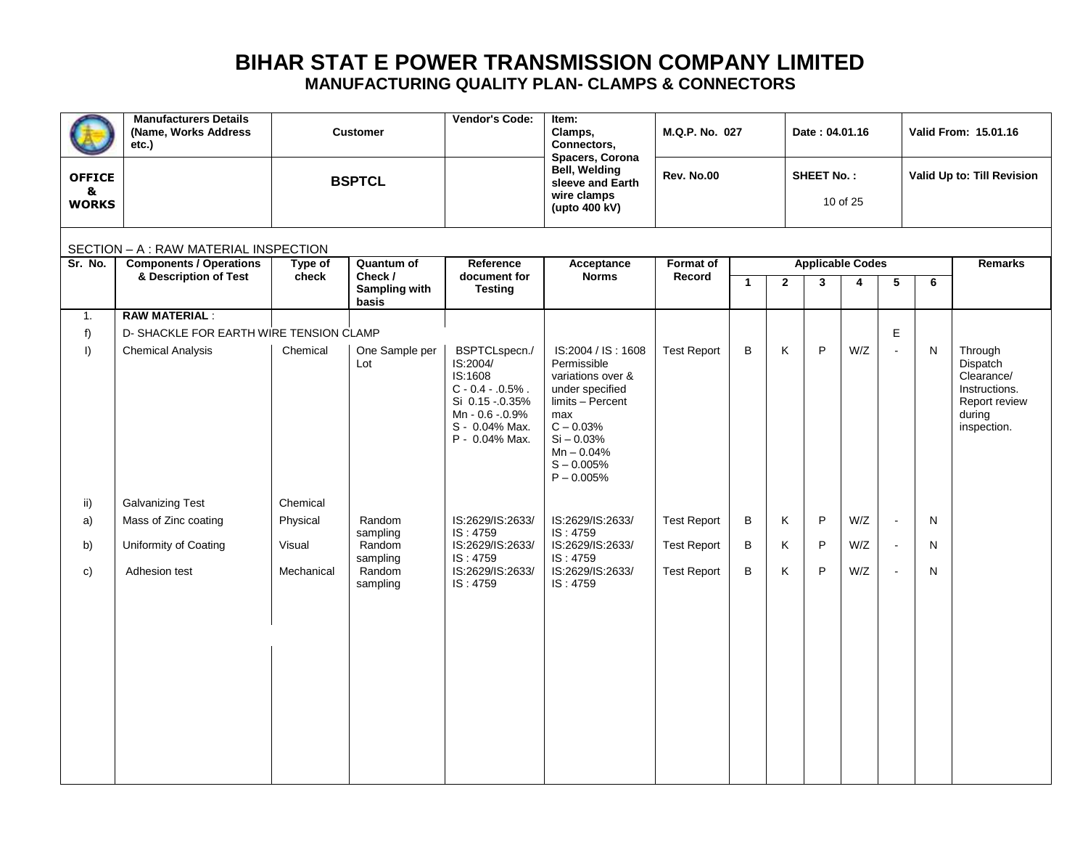|                                    | <b>Manufacturers Details</b><br>(Name, Works Address<br>etc.) |                  | <b>Customer</b>                                 | Vendor's Code:                                                                                                                       | Item:<br>Clamps,<br>Connectors,<br>Spacers, Corona                                                                                                                                  | M.Q.P. No. 027             |              |                | Date: 04.01.16               |          |        |   | Valid From: 15.01.16                                                                         |
|------------------------------------|---------------------------------------------------------------|------------------|-------------------------------------------------|--------------------------------------------------------------------------------------------------------------------------------------|-------------------------------------------------------------------------------------------------------------------------------------------------------------------------------------|----------------------------|--------------|----------------|------------------------------|----------|--------|---|----------------------------------------------------------------------------------------------|
| <b>OFFICE</b><br>&<br><b>WORKS</b> |                                                               |                  | <b>BSPTCL</b>                                   |                                                                                                                                      | <b>Bell, Welding</b><br>sleeve and Earth<br>wire clamps<br>(upto 400 kV)                                                                                                            | <b>Rev. No.00</b>          |              |                | <b>SHEET No.:</b>            | 10 of 25 |        |   | Valid Up to: Till Revision                                                                   |
|                                    | SECTION - A : RAW MATERIAL INSPECTION                         |                  |                                                 |                                                                                                                                      |                                                                                                                                                                                     |                            |              |                |                              |          |        |   |                                                                                              |
| Sr. No.                            | <b>Components / Operations</b><br>& Description of Test       | Type of<br>check | Quantum of<br>Check /<br>Sampling with<br>basis | Reference<br>document for<br><b>Testing</b>                                                                                          | Acceptance<br><b>Norms</b>                                                                                                                                                          | <b>Format of</b><br>Record | $\mathbf{1}$ | $\overline{2}$ | <b>Applicable Codes</b><br>3 | 4        | 5      | 6 | Remarks                                                                                      |
| $\mathbf{1}$ .                     | <b>RAW MATERIAL:</b>                                          |                  |                                                 |                                                                                                                                      |                                                                                                                                                                                     |                            |              |                |                              |          |        |   |                                                                                              |
| f)                                 | D- SHACKLE FOR EARTH WIRE TENSION CLAMP                       |                  |                                                 |                                                                                                                                      |                                                                                                                                                                                     |                            |              |                |                              |          | E      |   |                                                                                              |
| $\vert$                            | <b>Chemical Analysis</b>                                      | Chemical         | One Sample per<br>Lot                           | BSPTCLspecn./<br>IS:2004/<br>IS:1608<br>$C - 0.4 - 0.5%$ .<br>Si 0.15 - 0.35%<br>Mn - 0.6 - 0.9%<br>S - 0.04% Max.<br>P - 0.04% Max. | IS:2004 / IS: 1608<br>Permissible<br>variations over &<br>under specified<br>limits - Percent<br>max<br>$C - 0.03%$<br>$Si - 0.03%$<br>$Mn - 0.04%$<br>$S - 0.005%$<br>$P - 0.005%$ | <b>Test Report</b>         | B            | K              | P                            | W/Z      | $\sim$ | N | Through<br>Dispatch<br>Clearance/<br>Instructions.<br>Report review<br>during<br>inspection. |
| ii)                                | <b>Galvanizing Test</b>                                       | Chemical         |                                                 |                                                                                                                                      |                                                                                                                                                                                     |                            |              |                |                              |          |        |   |                                                                                              |
| a)                                 | Mass of Zinc coating                                          | Physical         | Random<br>sampling                              | IS:2629/IS:2633/<br>IS: 4759                                                                                                         | IS:2629/IS:2633/<br>IS: 4759                                                                                                                                                        | <b>Test Report</b>         | B            | Κ              | P                            | W/Z      | $\sim$ | N |                                                                                              |
| b)                                 | Uniformity of Coating                                         | Visual           | Random                                          | IS:2629/IS:2633/                                                                                                                     | IS:2629/IS:2633/                                                                                                                                                                    | <b>Test Report</b>         | B            | Κ              | P                            | W/Z      | $\sim$ | N |                                                                                              |
| c)                                 | Adhesion test                                                 | Mechanical       | sampling<br>Random<br>sampling                  | IS: 4759<br>IS:2629/IS:2633/<br>IS: 4759                                                                                             | IS: 4759<br>IS:2629/IS:2633/<br>IS: 4759                                                                                                                                            | <b>Test Report</b>         | B            | K              | P                            | W/Z      | $\sim$ | N |                                                                                              |
|                                    |                                                               |                  |                                                 |                                                                                                                                      |                                                                                                                                                                                     |                            |              |                |                              |          |        |   |                                                                                              |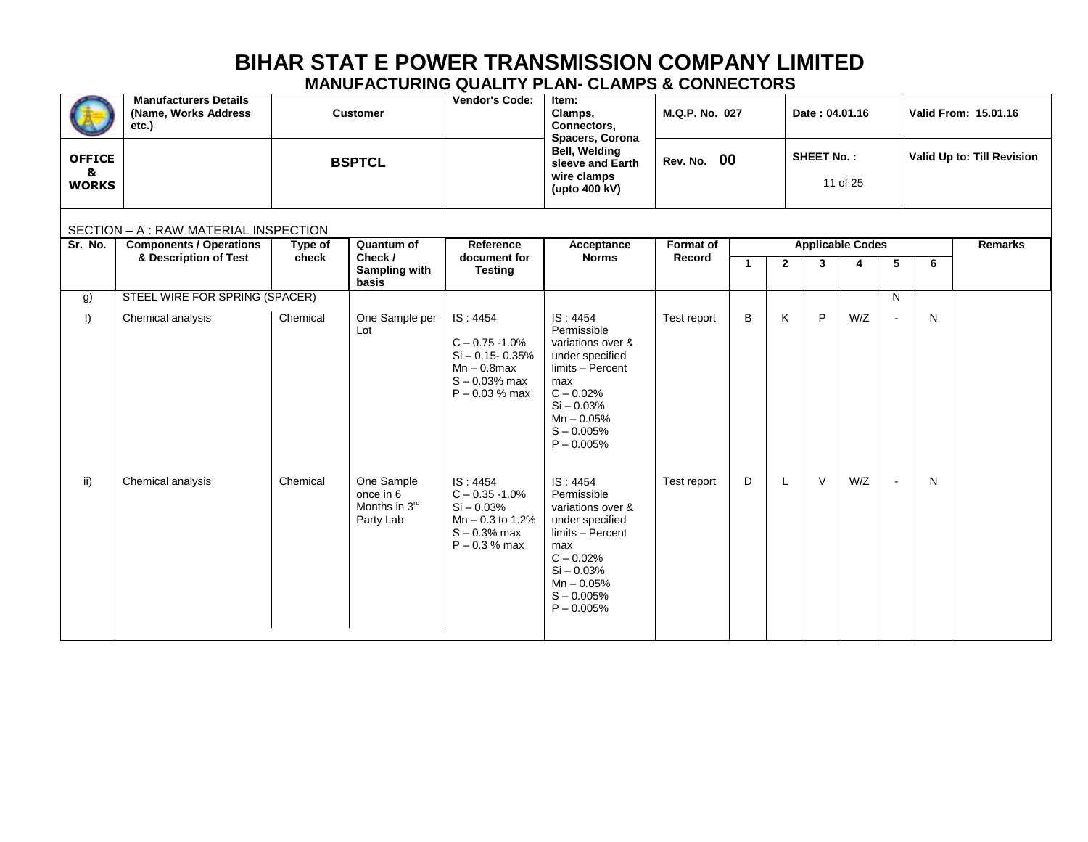|                                    | <b>Manufacturers Details</b><br>(Name, Works Address<br>etc.) |                  | <b>Customer</b>                                       | Vendor's Code:<br>Item:<br>Clamps,<br>M.Q.P. No. 027<br>Connectors,<br>Spacers, Corona                        |                                                                                                                                                                           |                     |                      | Date: 04.01.16 |                              |          | Valid From: 15.01.16 |   |                            |
|------------------------------------|---------------------------------------------------------------|------------------|-------------------------------------------------------|---------------------------------------------------------------------------------------------------------------|---------------------------------------------------------------------------------------------------------------------------------------------------------------------------|---------------------|----------------------|----------------|------------------------------|----------|----------------------|---|----------------------------|
| <b>OFFICE</b><br>&<br><b>WORKS</b> |                                                               |                  | <b>BSPTCL</b>                                         |                                                                                                               | Bell, Welding<br>sleeve and Earth<br>wire clamps<br>(upto 400 kV)                                                                                                         | <b>Rev. No. 00</b>  |                      |                | <b>SHEET No.:</b>            | 11 of 25 |                      |   | Valid Up to: Till Revision |
|                                    | SECTION - A : RAW MATERIAL INSPECTION                         |                  |                                                       |                                                                                                               |                                                                                                                                                                           |                     |                      |                |                              |          |                      |   |                            |
| Sr. No.                            | <b>Components / Operations</b><br>& Description of Test       | Type of<br>check | Quantum of<br>Check /                                 | Reference<br>document for                                                                                     | Acceptance<br><b>Norms</b>                                                                                                                                                | Format of<br>Record | $\blacktriangleleft$ | $\overline{2}$ | <b>Applicable Codes</b><br>3 | 4        | 5                    | 6 | <b>Remarks</b>             |
|                                    |                                                               |                  | <b>Sampling with</b><br>basis                         | <b>Testing</b>                                                                                                |                                                                                                                                                                           |                     |                      |                |                              |          |                      |   |                            |
| g)                                 | STEEL WIRE FOR SPRING (SPACER)                                |                  |                                                       |                                                                                                               |                                                                                                                                                                           |                     |                      |                |                              |          | N                    |   |                            |
| $\vert$                            | Chemical analysis                                             | Chemical         | One Sample per<br>Lot                                 | IS: 4454<br>$C - 0.75 - 1.0%$<br>$Si - 0.15 - 0.35%$<br>$Mn - 0.8$ max<br>$S - 0.03%$ max<br>$P - 0.03 %$ max | IS: 4454<br>Permissible<br>variations over &<br>under specified<br>limits - Percent<br>max<br>$C - 0.02%$<br>$Si - 0.03%$<br>$Mn - 0.05%$<br>$S - 0.005%$<br>$P - 0.005%$ | Test report         | B                    | K              | P                            | W/Z      |                      | N |                            |
| ii)                                | Chemical analysis                                             | Chemical         | One Sample<br>once in 6<br>Months in 3rd<br>Party Lab | IS: 4454<br>$C - 0.35 - 1.0%$<br>$Si - 0.03%$<br>$Mn - 0.3$ to 1.2%<br>$S - 0.3%$ max<br>$P - 0.3 %$ max      | IS: 4454<br>Permissible<br>variations over &<br>under specified<br>limits - Percent<br>max<br>$C - 0.02%$<br>$Si - 0.03%$<br>$Mn - 0.05%$<br>$S - 0.005%$<br>$P - 0.005%$ | Test report         | D                    | L              | $\vee$                       | W/Z      | $\sim$               | N |                            |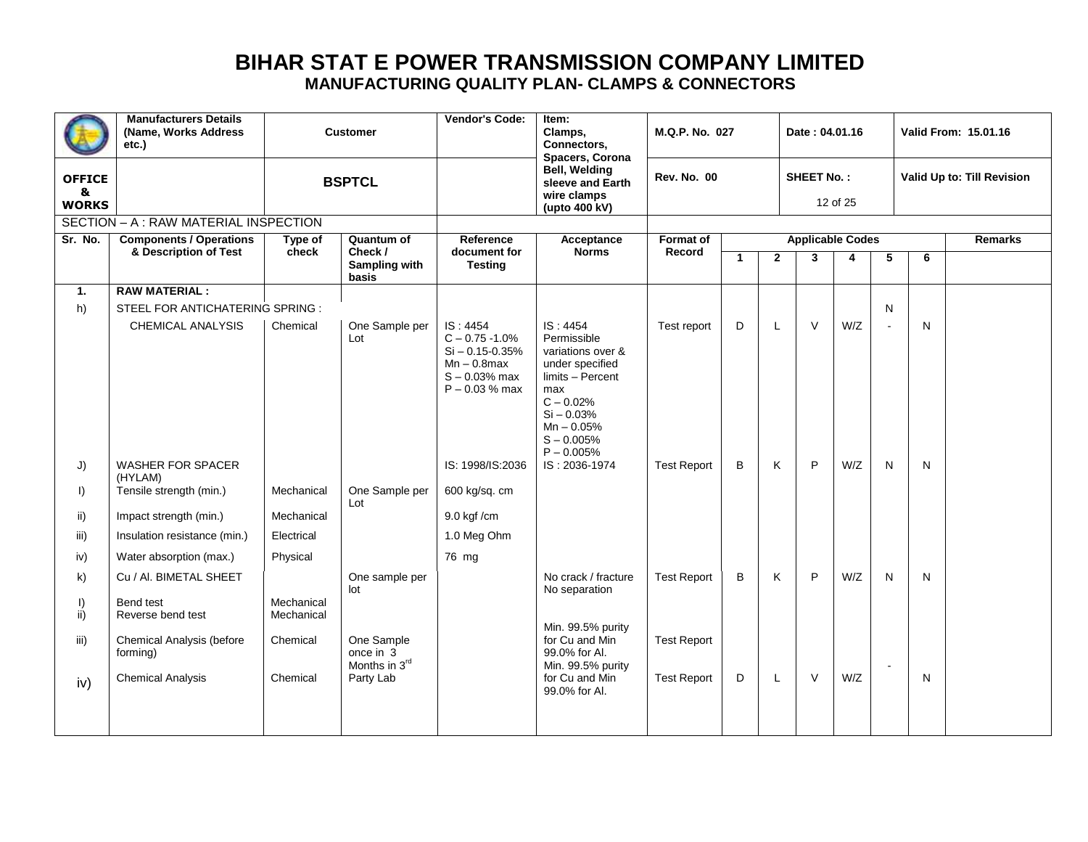|                                    | <b>Manufacturers Details</b><br>(Name, Works Address<br>etc.) |                          | <b>Vendor's Code:</b><br><b>Customer</b>        |                                                                                                               | Item:<br>Clamps,<br>Connectors,<br>Spacers, Corona                                                                                                                        | M.Q.P. No. 027             |         |              | Date: 04.01.16    |                              |        |   | Valid From: 15.01.16       |
|------------------------------------|---------------------------------------------------------------|--------------------------|-------------------------------------------------|---------------------------------------------------------------------------------------------------------------|---------------------------------------------------------------------------------------------------------------------------------------------------------------------------|----------------------------|---------|--------------|-------------------|------------------------------|--------|---|----------------------------|
| <b>OFFICE</b><br>&<br><b>WORKS</b> |                                                               |                          | <b>BSPTCL</b>                                   |                                                                                                               | <b>Bell, Welding</b><br>sleeve and Earth<br>wire clamps<br>(upto 400 kV)                                                                                                  | <b>Rev. No. 00</b>         |         |              | <b>SHEET No.:</b> | 12 of 25                     |        |   | Valid Up to: Till Revision |
|                                    | SECTION - A : RAW MATERIAL INSPECTION                         |                          |                                                 |                                                                                                               |                                                                                                                                                                           |                            |         |              |                   |                              |        |   |                            |
| Sr. No.                            | <b>Components / Operations</b><br>& Description of Test       | Type of<br>check         | Quantum of<br>Check /<br>Sampling with<br>basis | Reference<br>document for<br><b>Testing</b>                                                                   | Acceptance<br><b>Norms</b>                                                                                                                                                | <b>Format of</b><br>Record | 1       | $\mathbf{2}$ | 3                 | <b>Applicable Codes</b><br>4 | 5      | 6 | Remarks                    |
| $\mathbf{1}$ .                     | <b>RAW MATERIAL:</b>                                          |                          |                                                 |                                                                                                               |                                                                                                                                                                           |                            |         |              |                   |                              |        |   |                            |
| h)                                 | STEEL FOR ANTICHATERING SPRING :                              |                          |                                                 |                                                                                                               |                                                                                                                                                                           |                            |         |              |                   |                              | N      |   |                            |
|                                    | <b>CHEMICAL ANALYSIS</b>                                      | Chemical                 | One Sample per<br>Lot                           | IS: 4454<br>$C - 0.75 - 1.0%$<br>$Si - 0.15 - 0.35%$<br>$Mn - 0.8$ max<br>$S - 0.03%$ max<br>$P - 0.03 %$ max | IS: 4454<br>Permissible<br>variations over &<br>under specified<br>limits - Percent<br>max<br>$C - 0.02%$<br>$Si - 0.03%$<br>$Mn - 0.05%$<br>$S - 0.005%$<br>$P - 0.005%$ | Test report                | D       | L            | V                 | W/Z                          | $\sim$ | N |                            |
| J)                                 | WASHER FOR SPACER                                             |                          |                                                 | IS: 1998/IS:2036                                                                                              | IS: 2036-1974                                                                                                                                                             | <b>Test Report</b>         | $\sf B$ | Κ            | P                 | W/Z                          | N      | N |                            |
| $\vert$                            | (HYLAM)<br>Tensile strength (min.)                            | Mechanical               | One Sample per<br>Lot                           | 600 kg/sq. cm                                                                                                 |                                                                                                                                                                           |                            |         |              |                   |                              |        |   |                            |
| ii)                                | Impact strength (min.)                                        | Mechanical               |                                                 | $9.0$ kgf /cm                                                                                                 |                                                                                                                                                                           |                            |         |              |                   |                              |        |   |                            |
| iii)                               | Insulation resistance (min.)                                  | Electrical               |                                                 | 1.0 Meg Ohm                                                                                                   |                                                                                                                                                                           |                            |         |              |                   |                              |        |   |                            |
| iv)                                | Water absorption (max.)                                       | Physical                 |                                                 | 76 mg                                                                                                         |                                                                                                                                                                           |                            |         |              |                   |                              |        |   |                            |
| k)                                 | Cu / AI. BIMETAL SHEET                                        |                          | One sample per<br>lot                           |                                                                                                               | No crack / fracture<br>No separation                                                                                                                                      | <b>Test Report</b>         | B       | Κ            | P                 | W/Z                          | N      | N |                            |
| $\vert$ )<br>ii)                   | Bend test<br>Reverse bend test                                | Mechanical<br>Mechanical |                                                 |                                                                                                               | Min. 99.5% purity                                                                                                                                                         |                            |         |              |                   |                              |        |   |                            |
| iii)                               | Chemical Analysis (before<br>forming)                         | Chemical                 | One Sample<br>once in $3$<br>Months in 3rd      |                                                                                                               | for Cu and Min<br>99.0% for AI.<br>Min. 99.5% purity                                                                                                                      | <b>Test Report</b>         |         |              |                   |                              | $\sim$ |   |                            |
| iv)                                | <b>Chemical Analysis</b>                                      | Chemical                 | Party Lab                                       |                                                                                                               | for Cu and Min<br>99.0% for Al.                                                                                                                                           | <b>Test Report</b>         | D       | L            | $\vee$            | W/Z                          |        | N |                            |
|                                    |                                                               |                          |                                                 |                                                                                                               |                                                                                                                                                                           |                            |         |              |                   |                              |        |   |                            |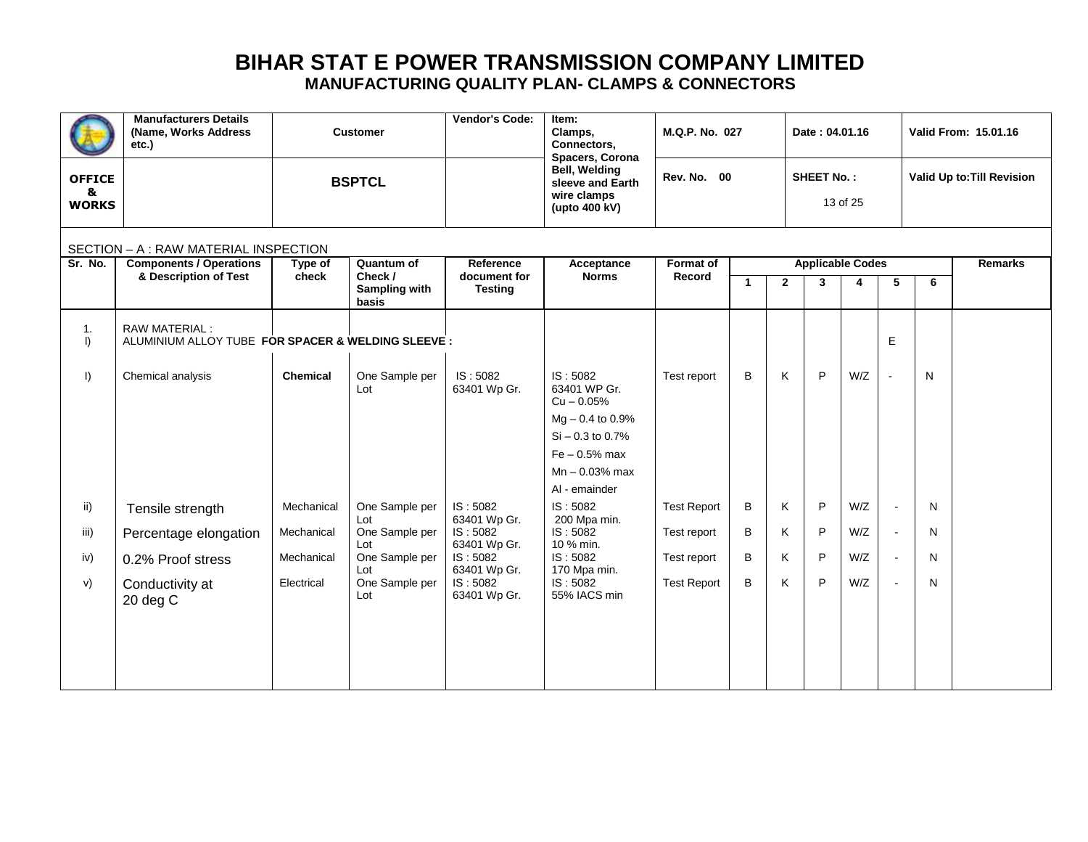|                                    | <b>Manufacturers Details</b><br>(Name, Works Address<br>etc.)       | <b>Customer</b>  |                                                 | Vendor's Code:<br>Item:<br>Clamps,<br>Connectors,<br>Spacers, Corona |                                                                                                                                             | M.Q.P. No. 027             |              |                | Date: 04.01.16               |          |              |                | Valid From: 15.01.16       |
|------------------------------------|---------------------------------------------------------------------|------------------|-------------------------------------------------|----------------------------------------------------------------------|---------------------------------------------------------------------------------------------------------------------------------------------|----------------------------|--------------|----------------|------------------------------|----------|--------------|----------------|----------------------------|
| <b>OFFICE</b><br>&<br><b>WORKS</b> |                                                                     |                  | <b>BSPTCL</b>                                   |                                                                      | <b>Bell, Welding</b><br>sleeve and Earth<br>wire clamps<br>(upto 400 kV)                                                                    | Rev. No. 00                |              |                | <b>SHEET No.:</b>            | 13 of 25 |              |                | Valid Up to: Till Revision |
|                                    | SECTION - A : RAW MATERIAL INSPECTION                               |                  |                                                 |                                                                      |                                                                                                                                             |                            |              |                |                              |          |              |                |                            |
| Sr. No.                            | <b>Components / Operations</b><br>& Description of Test             | Type of<br>check | Quantum of<br>Check /<br>Sampling with<br>basis | Reference<br>document for<br><b>Testing</b>                          | Acceptance<br><b>Norms</b>                                                                                                                  | <b>Format of</b><br>Record | $\mathbf{1}$ | $\overline{2}$ | <b>Applicable Codes</b><br>3 | 4        | 5            | 6              | <b>Remarks</b>             |
| 1.<br>$\vert$                      | RAW MATERIAL:<br>ALUMINIUM ALLOY TUBE FOR SPACER & WELDING SLEEVE : |                  |                                                 |                                                                      |                                                                                                                                             |                            |              |                |                              |          | E            |                |                            |
| $\vert$                            | Chemical analysis                                                   | <b>Chemical</b>  | One Sample per<br>Lot                           | IS:5082<br>63401 Wp Gr.                                              | IS:5082<br>63401 WP Gr.<br>$Cu - 0.05%$<br>$Mg - 0.4$ to 0.9%<br>$Si - 0.3$ to 0.7%<br>$Fe - 0.5%$ max<br>$Mn - 0.03%$ max<br>Al - emainder | Test report                | B            | K              | P                            | W/Z      | $\mathbf{u}$ | N              |                            |
| ii)                                | Tensile strength                                                    | Mechanical       | One Sample per<br>Lot                           | IS: 5082<br>63401 Wp Gr.                                             | IS: 5082<br>200 Mpa min.                                                                                                                    | <b>Test Report</b>         | В            | Κ              | P                            | W/Z      | $\sim$       | N <sub>1</sub> |                            |
| iii)                               | Percentage elongation                                               | Mechanical       | One Sample per<br>Lot                           | IS: 5082<br>63401 Wp Gr.                                             | IS: 5082<br>10 % min.                                                                                                                       | Test report                | В            | Κ              | P                            | W/Z      | $\sim$       | N              |                            |
| iv)                                | 0.2% Proof stress                                                   | Mechanical       | One Sample per<br>Lot                           | IS: 5082<br>63401 Wp Gr.                                             | IS: 5082<br>170 Mpa min.                                                                                                                    | Test report                | B            | Κ              | P                            | W/Z      | $\sim$       | N              |                            |
| V)                                 | Conductivity at<br>$20$ deg $C$                                     | Electrical       | One Sample per<br>Lot                           | IS: 5082<br>63401 Wp Gr.                                             | IS: 5082<br>55% IACS min                                                                                                                    | <b>Test Report</b>         | B            | K              | P                            | W/Z      |              | N              |                            |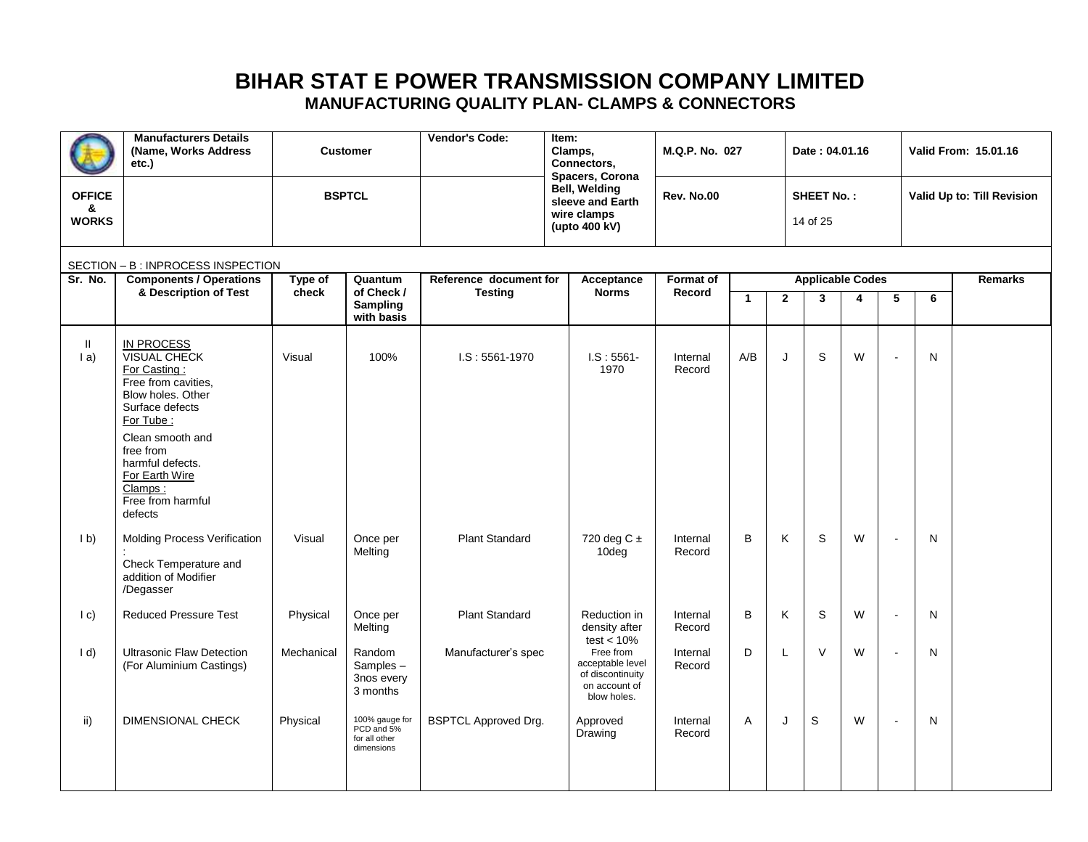|                                    | <b>Manufacturers Details</b><br>(Name, Works Address<br>etc.)                                                                                                                                                                                          |                  | <b>Customer</b>                                             | <b>Vendor's Code:</b>                    | Item:<br>Clamps,<br>Connectors,<br>Spacers, Corona                                | M.Q.P. No. 027             |              |                | Date: 04.01.16                          |   |                          |   | Valid From: 15.01.16       |
|------------------------------------|--------------------------------------------------------------------------------------------------------------------------------------------------------------------------------------------------------------------------------------------------------|------------------|-------------------------------------------------------------|------------------------------------------|-----------------------------------------------------------------------------------|----------------------------|--------------|----------------|-----------------------------------------|---|--------------------------|---|----------------------------|
| <b>OFFICE</b><br>&<br><b>WORKS</b> |                                                                                                                                                                                                                                                        | <b>BSPTCL</b>    |                                                             |                                          | <b>Bell, Welding</b><br>sleeve and Earth<br>wire clamps<br>(upto 400 kV)          | Rev. No.00                 |              |                | <b>SHEET No.:</b><br>14 of 25           |   |                          |   | Valid Up to: Till Revision |
|                                    | SECTION - B: INPROCESS INSPECTION                                                                                                                                                                                                                      |                  |                                                             |                                          |                                                                                   |                            |              |                |                                         |   |                          |   |                            |
| Sr. No.                            | <b>Components / Operations</b><br>& Description of Test                                                                                                                                                                                                | Type of<br>check | Quantum<br>of Check /<br><b>Sampling</b><br>with basis      | Reference document for<br><b>Testing</b> | Acceptance<br><b>Norms</b>                                                        | <b>Format of</b><br>Record | $\mathbf{1}$ | $\overline{2}$ | <b>Applicable Codes</b><br>$\mathbf{3}$ | 4 | 5                        | 6 | Remarks                    |
| Ш.<br>(a)                          | <b>IN PROCESS</b><br><b>VISUAL CHECK</b><br>For Casting:<br>Free from cavities,<br>Blow holes, Other<br>Surface defects<br>For Tube:<br>Clean smooth and<br>free from<br>harmful defects.<br>For Earth Wire<br>Clamps:<br>Free from harmful<br>defects | Visual           | 100%                                                        | $LS: 5561-1970$                          | $LS: 5561 -$<br>1970                                                              | Internal<br>Record         | A/B          | J              | S                                       | W | $\overline{a}$           | N |                            |
| 1 <sub>b</sub>                     | Molding Process Verification<br>Check Temperature and<br>addition of Modifier<br>/Degasser                                                                                                                                                             | Visual           | Once per<br>Melting                                         | <b>Plant Standard</b>                    | 720 deg C ±<br>10deg                                                              | Internal<br>Record         | B            | Κ              | $\mathbf S$                             | W |                          | N |                            |
| $ c\rangle$                        | <b>Reduced Pressure Test</b>                                                                                                                                                                                                                           | Physical         | Once per<br>Melting                                         | <b>Plant Standard</b>                    | Reduction in<br>density after<br>test $< 10\%$                                    | Internal<br>Record         | B            | Κ              | $\mathsf S$                             | W | $\blacksquare$           | N |                            |
| $\mathsf{Id}$                      | <b>Ultrasonic Flaw Detection</b><br>(For Aluminium Castings)                                                                                                                                                                                           | Mechanical       | Random<br>Samples-<br>3nos every<br>3 months                | Manufacturer's spec                      | Free from<br>acceptable level<br>of discontinuity<br>on account of<br>blow holes. | Internal<br>Record         | D            | L              | $\vee$                                  | W | $\overline{\phantom{a}}$ | N |                            |
| ii)                                | DIMENSIONAL CHECK                                                                                                                                                                                                                                      | Physical         | 100% gauge for<br>PCD and 5%<br>for all other<br>dimensions | <b>BSPTCL Approved Drg.</b>              | Approved<br>Drawing                                                               | Internal<br>Record         | A            | J              | $\mathbf S$                             | W | $\overline{\phantom{a}}$ | N |                            |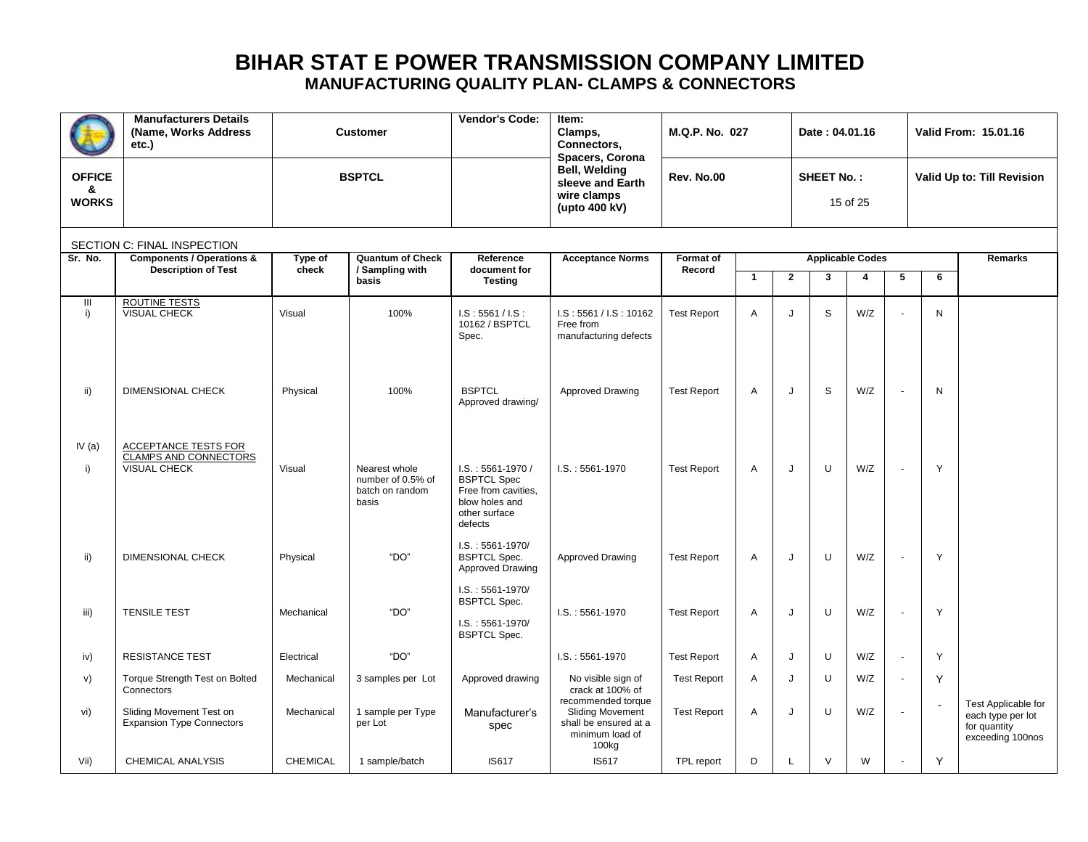|                                    | <b>Manufacturers Details</b><br>(Name, Works Address<br>etc.)               |                  | Vendor's Code:<br><b>Customer</b>                              |                                                                                                                | Item:<br>Clamps,<br>Connectors,<br>Spacers, Corona                                                 | M.Q.P. No. 027      |              |              | Date: 04.01.16    |                              |                          | <b>Valid From: 15.01.16</b><br>Valid Up to: Till Revision |                                                                              |
|------------------------------------|-----------------------------------------------------------------------------|------------------|----------------------------------------------------------------|----------------------------------------------------------------------------------------------------------------|----------------------------------------------------------------------------------------------------|---------------------|--------------|--------------|-------------------|------------------------------|--------------------------|-----------------------------------------------------------|------------------------------------------------------------------------------|
| <b>OFFICE</b><br>&<br><b>WORKS</b> |                                                                             | <b>BSPTCL</b>    |                                                                |                                                                                                                | Bell, Welding<br>sleeve and Earth<br>wire clamps<br>(upto 400 kV)                                  | <b>Rev. No.00</b>   |              |              | <b>SHEET No.:</b> | 15 of 25                     |                          |                                                           |                                                                              |
|                                    | SECTION C: FINAL INSPECTION                                                 |                  |                                                                |                                                                                                                |                                                                                                    |                     |              |              |                   |                              |                          |                                                           |                                                                              |
| Sr. No.                            | <b>Components / Operations &amp;</b><br><b>Description of Test</b>          | Type of<br>check | <b>Quantum of Check</b><br>/ Sampling with<br>basis            | Reference<br>document for<br><b>Testing</b>                                                                    | <b>Acceptance Norms</b>                                                                            | Format of<br>Record | $\mathbf{1}$ | $\mathbf{2}$ | 3                 | <b>Applicable Codes</b><br>4 | 5                        | 6                                                         | Remarks                                                                      |
| Ш<br>i)                            | ROUTINE TESTS<br><b>VISUAL CHECK</b>                                        | Visual           | 100%                                                           | LS: 5561 / IS:<br>10162 / BSPTCL<br>Spec.                                                                      | LS: 5561 / LS: 10162<br>Free from<br>manufacturing defects                                         | <b>Test Report</b>  | A            | $\cdot$      | S                 | W/Z                          |                          | N                                                         |                                                                              |
| ii)                                | <b>DIMENSIONAL CHECK</b>                                                    | Physical         | 100%                                                           | <b>BSPTCL</b><br>Approved drawing/                                                                             | Approved Drawing                                                                                   | <b>Test Report</b>  | Α            | J            | S                 | W/Z                          |                          | N                                                         |                                                                              |
| IV $(a)$<br>i)                     | <b>ACCEPTANCE TESTS FOR</b><br><b>CLAMPS AND CONNECTORS</b><br>VISUAL CHECK | Visual           | Nearest whole<br>number of 0.5% of<br>batch on random<br>basis | $I.S. : 5561-1970/$<br><b>BSPTCL Spec</b><br>Free from cavities,<br>blow holes and<br>other surface<br>defects | $I.S. : 5561-1970$                                                                                 | <b>Test Report</b>  | Α            | J            | $\cup$            | W/Z                          |                          | Y                                                         |                                                                              |
| ii)                                | <b>DIMENSIONAL CHECK</b>                                                    | Physical         | "DO"                                                           | $I.S. : 5561 - 1970/$<br><b>BSPTCL Spec.</b><br>Approved Drawing                                               | Approved Drawing                                                                                   | <b>Test Report</b>  | Α            | J            | $\cup$            | W/Z                          |                          | Y                                                         |                                                                              |
| iii)                               | <b>TENSILE TEST</b>                                                         | Mechanical       | "DO"                                                           | $I.S. : 5561 - 1970/$<br><b>BSPTCL Spec.</b><br>$I.S. : 5561 - 1970/$<br><b>BSPTCL Spec.</b>                   | $I.S. : 5561-1970$                                                                                 | <b>Test Report</b>  | Α            | J            | U                 | W/Z                          |                          | Y                                                         |                                                                              |
| iv)                                | <b>RESISTANCE TEST</b>                                                      | Electrical       | "DO"                                                           |                                                                                                                | $I.S. : 5561-1970$                                                                                 | <b>Test Report</b>  | Α            | J            | U                 | W/Z                          | $\overline{\phantom{a}}$ | Y                                                         |                                                                              |
| V)                                 | Torque Strength Test on Bolted<br>Connectors                                | Mechanical       | 3 samples per Lot                                              | Approved drawing                                                                                               | No visible sign of<br>crack at 100% of                                                             | <b>Test Report</b>  | Α            | J            | U                 | W/Z                          |                          | Y                                                         |                                                                              |
| vi)                                | Sliding Movement Test on<br><b>Expansion Type Connectors</b>                | Mechanical       | 1 sample per Type<br>per Lot                                   | Manufacturer's<br>spec                                                                                         | recommended torque<br><b>Sliding Movement</b><br>shall be ensured at a<br>minimum load of<br>100kg | <b>Test Report</b>  | Α            | J            | $\cup$            | W/Z                          |                          |                                                           | Test Applicable for<br>each type per lot<br>for quantity<br>exceeding 100nos |
| Vii)                               | <b>CHEMICAL ANALYSIS</b>                                                    | <b>CHEMICAL</b>  | 1 sample/batch                                                 | <b>IS617</b>                                                                                                   | <b>IS617</b>                                                                                       | TPL report          | D            | L            | $\vee$            | W                            |                          | Y                                                         |                                                                              |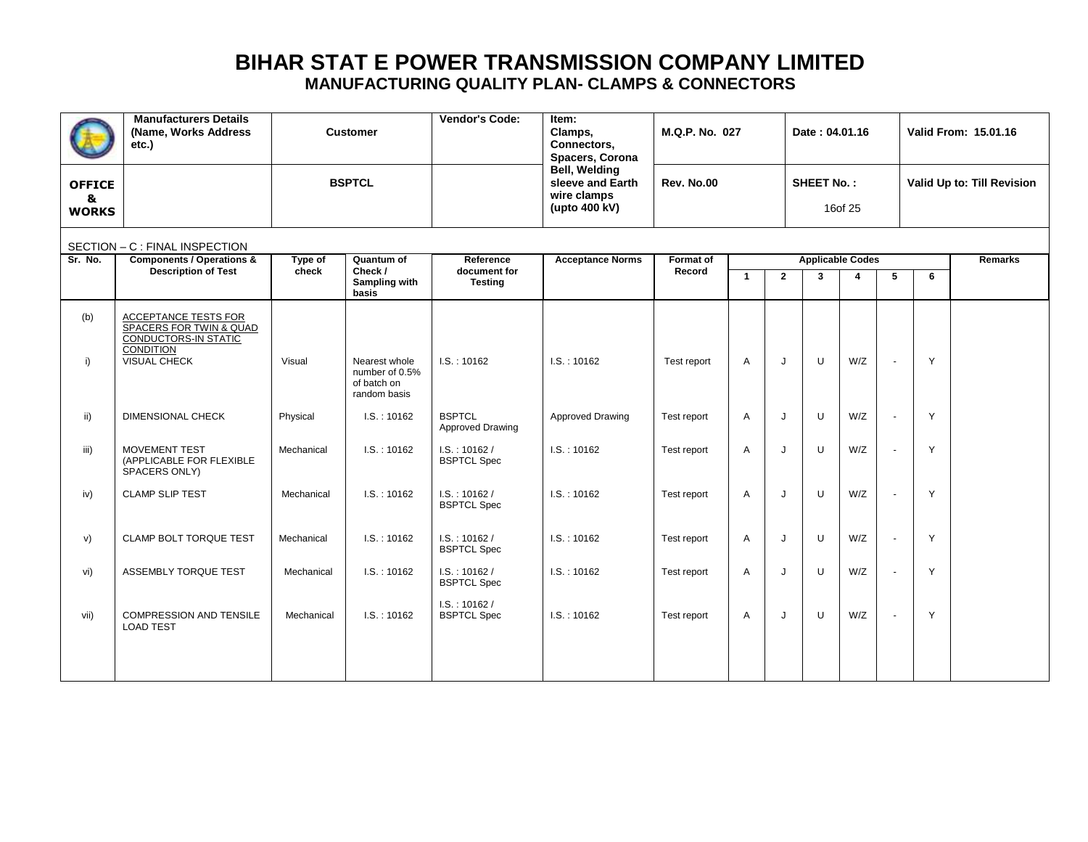|                                    | <b>Manufacturers Details</b><br>(Name, Works Address<br>etc.)                                                      |                  | <b>Customer</b>                                 | <b>Vendor's Code:</b>                       | Item:<br>Clamps,<br>Connectors,<br>Spacers, Corona                | M.Q.P. No. 027      |                              |              | Date: 04.01.16 |                              |                            | Valid From: 15.01.16 |         |
|------------------------------------|--------------------------------------------------------------------------------------------------------------------|------------------|-------------------------------------------------|---------------------------------------------|-------------------------------------------------------------------|---------------------|------------------------------|--------------|----------------|------------------------------|----------------------------|----------------------|---------|
| <b>OFFICE</b><br>&<br><b>WORKS</b> |                                                                                                                    | <b>BSPTCL</b>    |                                                 |                                             | Bell, Welding<br>sleeve and Earth<br>wire clamps<br>(upto 400 kV) | Rev. No.00          | <b>SHEET No.:</b><br>16of 25 |              |                |                              | Valid Up to: Till Revision |                      |         |
|                                    | SECTION - C : FINAL INSPECTION                                                                                     |                  |                                                 |                                             |                                                                   |                     |                              |              |                |                              |                            |                      |         |
| Sr. No.                            | <b>Components / Operations &amp;</b><br><b>Description of Test</b>                                                 | Type of<br>check | Quantum of<br>Check /<br>Sampling with<br>basis | Reference<br>document for<br><b>Testing</b> | <b>Acceptance Norms</b>                                           | Format of<br>Record | $\mathbf{1}$                 | $\mathbf{2}$ | $\mathbf{3}$   | <b>Applicable Codes</b><br>4 | 5                          | 6                    | Remarks |
| (b)<br>i)                          | ACCEPTANCE TESTS FOR<br>SPACERS FOR TWIN & QUAD<br>CONDUCTORS-IN STATIC<br><b>CONDITION</b><br><b>VISUAL CHECK</b> | Visual           | Nearest whole<br>number of 0.5%<br>of batch on  | I.S. : 10162                                | I.S. : 10162                                                      | Test report         | A                            | J            | U              | W/Z                          | $\overline{\phantom{a}}$   | Y                    |         |
| ii)                                | <b>DIMENSIONAL CHECK</b>                                                                                           | Physical         | random basis<br>I.S. : 10162                    | <b>BSPTCL</b><br>Approved Drawing           | Approved Drawing                                                  | Test report         | A                            | J            | U              | W/Z                          |                            | Y                    |         |
| iii)                               | MOVEMENT TEST<br>(APPLICABLE FOR FLEXIBLE<br>SPACERS ONLY)                                                         | Mechanical       | I.S.:10162                                      | I.S. : 10162 /<br><b>BSPTCL Spec</b>        | IS.: 10162                                                        | Test report         | A                            | J            | U              | W/Z                          | ÷,                         | Y                    |         |
| iv)                                | <b>CLAMP SLIP TEST</b>                                                                                             | Mechanical       | I.S. : 10162                                    | I.S. : 10162 /<br><b>BSPTCL Spec</b>        | I.S. : 10162                                                      | Test report         | $\overline{A}$               | J            | U              | W/Z                          |                            | Y                    |         |
| v)                                 | CLAMP BOLT TORQUE TEST                                                                                             | Mechanical       | LS. : 10162                                     | I.S. : 10162 /<br><b>BSPTCL Spec</b>        | IS.: 10162                                                        | Test report         | A                            | J            | U              | W/Z                          |                            | Y                    |         |
| vi)                                | ASSEMBLY TORQUE TEST                                                                                               | Mechanical       | I.S.:10162                                      | I.S. : 10162 /<br><b>BSPTCL Spec</b>        | I.S. : 10162                                                      | Test report         | $\overline{A}$               | J            | U              | W/Z                          | $\ddot{\phantom{1}}$       | Y                    |         |
| vii)                               | <b>COMPRESSION AND TENSILE</b><br><b>LOAD TEST</b>                                                                 | Mechanical       | IS.: 10162                                      | I.S. : 10162 /<br><b>BSPTCL Spec</b>        | IS.: 10162                                                        | Test report         | $\overline{A}$               | J            | U              | W/Z                          | $\sim$                     | Y                    |         |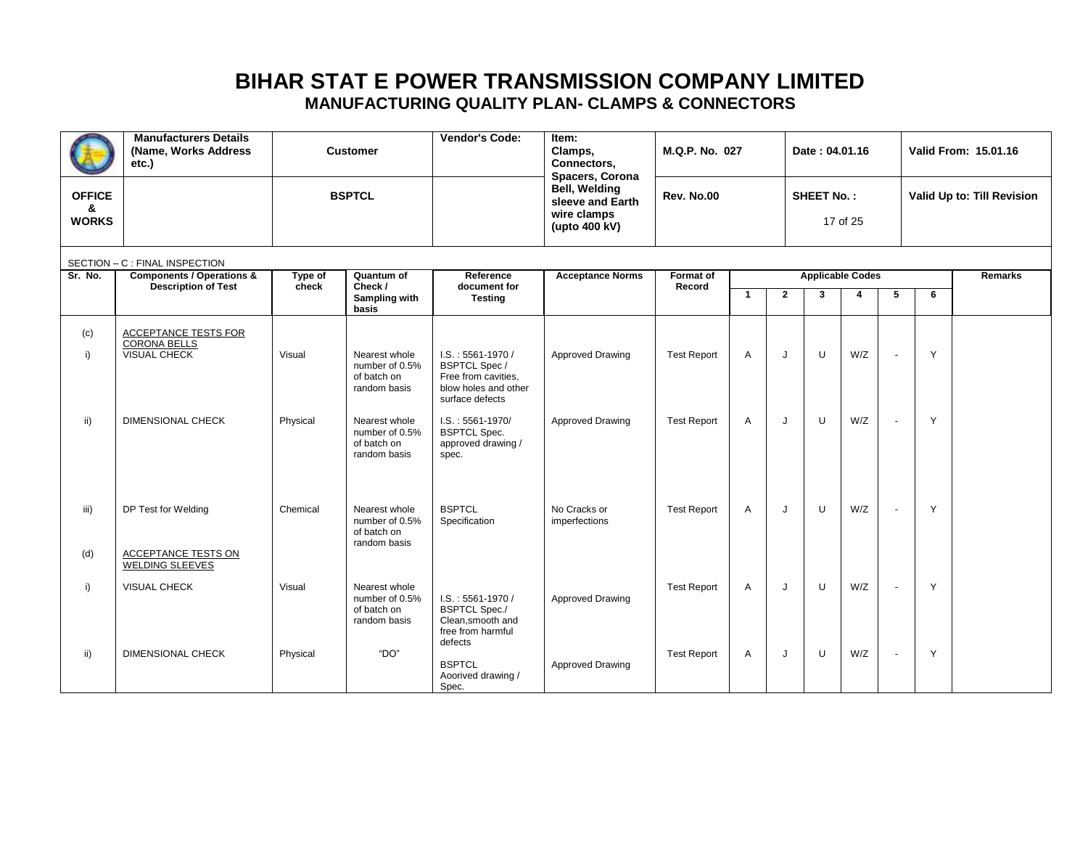|                                    | <b>Manufacturers Details</b><br>(Name, Works Address<br>etc.)                           |                    | <b>Customer</b>                                                                                                  | <b>Vendor's Code:</b>                                                                                                                                                             | Item:<br>Clamps,<br>Connectors,<br>Spacers, Corona | M.Q.P. No. 027                           |                         |                   | Date: 04.01.16 |            |                            |                   | Valid From: 15.01.16 |
|------------------------------------|-----------------------------------------------------------------------------------------|--------------------|------------------------------------------------------------------------------------------------------------------|-----------------------------------------------------------------------------------------------------------------------------------------------------------------------------------|----------------------------------------------------|------------------------------------------|-------------------------|-------------------|----------------|------------|----------------------------|-------------------|----------------------|
| <b>OFFICE</b><br>&<br><b>WORKS</b> |                                                                                         |                    | <b>BSPTCL</b>                                                                                                    | <b>Bell, Welding</b><br>sleeve and Earth<br>wire clamps<br>(upto 400 kV)                                                                                                          |                                                    | Rev. No.00                               |                         | <b>SHEET No.:</b> | 17 of 25       |            | Valid Up to: Till Revision |                   |                      |
| Sr. No.                            | SECTION - C : FINAL INSPECTION<br><b>Components / Operations &amp;</b>                  | Reference          |                                                                                                                  | Format of                                                                                                                                                                         |                                                    |                                          | <b>Applicable Codes</b> |                   |                |            | Remarks                    |                   |                      |
|                                    | <b>Description of Test</b>                                                              | Type of<br>check   | Quantum of<br>Check /<br>Sampling with<br>basis                                                                  | document for<br><b>Testing</b>                                                                                                                                                    | <b>Acceptance Norms</b>                            | Record                                   | $\mathbf{1}$            | $\mathbf{2}$      | 3              | 4          | 5                          | 6                 |                      |
| (c)<br>i)<br>ii)                   | ACCEPTANCE TESTS FOR<br><b>CORONA BELLS</b><br>VISUAL CHECK<br><b>DIMENSIONAL CHECK</b> | Visual<br>Physical | Nearest whole<br>number of 0.5%<br>of batch on<br>random basis<br>Nearest whole<br>number of 0.5%<br>of batch on | $I.S. : 5561-1970/$<br><b>BSPTCL Spec /</b><br>Free from cavities,<br>blow holes and other<br>surface defects<br>$I.S. : 5561-1970/$<br><b>BSPTCL Spec.</b><br>approved drawing / | Approved Drawing<br>Approved Drawing               | <b>Test Report</b><br><b>Test Report</b> | $\overline{A}$<br>A     | J<br>J            | U<br>U         | W/Z<br>W/Z | $\blacksquare$<br>$\sim$   | Y<br>Y            |                      |
| iii)<br>(d)                        | DP Test for Welding<br>ACCEPTANCE TESTS ON<br><b>WELDING SLEEVES</b>                    | Chemical           | random basis<br>Nearest whole<br>number of 0.5%<br>of batch on<br>random basis                                   | spec.<br><b>BSPTCL</b><br>Specification                                                                                                                                           | No Cracks or<br>imperfections                      | <b>Test Report</b>                       | $\overline{A}$          | J                 | U              | W/Z        | $\blacksquare$             | Y                 |                      |
| i)<br>ii)                          | VISUAL CHECK<br><b>DIMENSIONAL CHECK</b>                                                | Visual<br>Physical | Nearest whole<br>number of 0.5%<br>of batch on<br>random basis<br>"DO"                                           | $I.S. : 5561-1970/$<br><b>BSPTCL Spec./</b><br>Clean.smooth and<br>free from harmful<br>defects<br><b>BSPTCL</b>                                                                  | Approved Drawing<br>Approved Drawing               | <b>Test Report</b><br><b>Test Report</b> | A<br>Α                  | J<br>J            | U<br>U         | W/Z<br>W/Z | $\sim$<br>$\blacksquare$   | $\mathsf{Y}$<br>Y |                      |
|                                    |                                                                                         |                    |                                                                                                                  | Aoorived drawing /<br>Spec.                                                                                                                                                       |                                                    |                                          |                         |                   |                |            |                            |                   |                      |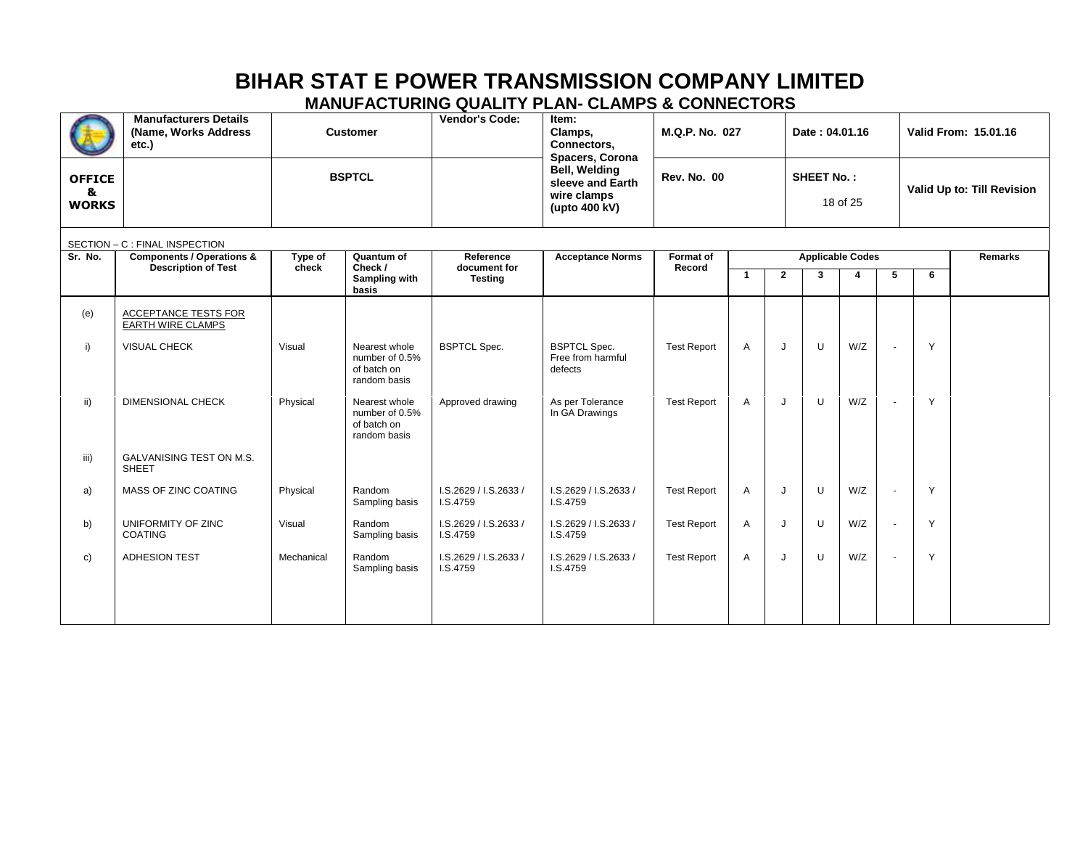# **BIHAR STAT E POWER TRANSMISSION COMPANY LIMITED**

#### **MANUFACTURING QUALITY PLAN- CLAMPS & CONNECTORS**

|                                    | <b>Manufacturers Details</b><br>(Name, Works Address<br>etc.)      |                  | <b>Customer</b>                                                | Vendor's Code:<br>Item:<br>Clamps,<br>Connectors,<br>Spacers, Corona |                                                                          | M.Q.P. No. 027      |                         |                               | Date: 04.01.16 |                |                | Valid From: 15.01.16<br>Valid Up to: Till Revision |  |
|------------------------------------|--------------------------------------------------------------------|------------------|----------------------------------------------------------------|----------------------------------------------------------------------|--------------------------------------------------------------------------|---------------------|-------------------------|-------------------------------|----------------|----------------|----------------|----------------------------------------------------|--|
| <b>OFFICE</b><br>&<br><b>WORKS</b> |                                                                    |                  | <b>BSPTCL</b>                                                  |                                                                      | <b>Bell, Welding</b><br>sleeve and Earth<br>wire clamps<br>(upto 400 kV) | <b>Rev. No. 00</b>  |                         | <b>SHEET No.:</b><br>18 of 25 |                |                |                |                                                    |  |
|                                    | SECTION - C : FINAL INSPECTION                                     |                  |                                                                |                                                                      |                                                                          |                     |                         |                               |                |                |                |                                                    |  |
| Sr. No.                            | <b>Components / Operations &amp;</b><br><b>Description of Test</b> | Type of<br>check | Quantum of<br>Check /                                          | Reference<br>document for                                            | <b>Acceptance Norms</b>                                                  | Format of<br>Record | <b>Applicable Codes</b> |                               |                | <b>Remarks</b> |                |                                                    |  |
|                                    |                                                                    |                  | Sampling with<br>basis                                         | <b>Testing</b>                                                       |                                                                          |                     | $\overline{\mathbf{1}}$ | $\overline{2}$                | 3              | 4              | 5              | 6                                                  |  |
| (e)                                | ACCEPTANCE TESTS FOR<br><b>EARTH WIRE CLAMPS</b>                   |                  |                                                                |                                                                      |                                                                          |                     |                         |                               |                |                |                |                                                    |  |
| i)                                 | VISUAL CHECK                                                       | Visual           | Nearest whole<br>number of 0.5%<br>of batch on<br>random basis | <b>BSPTCL Spec.</b>                                                  | <b>BSPTCL Spec.</b><br>Free from harmful<br>defects                      | <b>Test Report</b>  | $\overline{A}$          | J                             | U              | W/Z            | ä,             | Y                                                  |  |
| ii)                                | <b>DIMENSIONAL CHECK</b>                                           | Physical         | Nearest whole<br>number of 0.5%<br>of batch on<br>random basis | Approved drawing                                                     | As per Tolerance<br>In GA Drawings                                       | <b>Test Report</b>  | A                       | J                             | U              | W/Z            | ä,             | Y                                                  |  |
| iii)                               | GALVANISING TEST ON M.S.<br>SHEET                                  |                  |                                                                |                                                                      |                                                                          |                     |                         |                               |                |                |                |                                                    |  |
| a)                                 | MASS OF ZINC COATING                                               | Physical         | Random<br>Sampling basis                                       | I.S.2629 / I.S.2633 /<br>I.S.4759                                    | I.S.2629 / I.S.2633 /<br>I.S.4759                                        | <b>Test Report</b>  | A                       | J                             | U              | W/Z            | $\blacksquare$ | Y                                                  |  |
| b)                                 | UNIFORMITY OF ZINC<br><b>COATING</b>                               | Visual           | Random<br>Sampling basis                                       | I.S.2629 / I.S.2633 /<br>I.S.4759                                    | I.S.2629 / I.S.2633 /<br>I.S.4759                                        | <b>Test Report</b>  | A                       | J                             | U              | W/Z            | $\blacksquare$ | Y                                                  |  |
| c)                                 | <b>ADHESION TEST</b>                                               | Mechanical       | Random<br>Sampling basis                                       | I.S.2629 / I.S.2633 /<br>I.S.4759                                    | I.S.2629 / I.S.2633 /<br>I.S.4759                                        | <b>Test Report</b>  | A                       | J                             | U              | W/Z            | $\blacksquare$ | Y                                                  |  |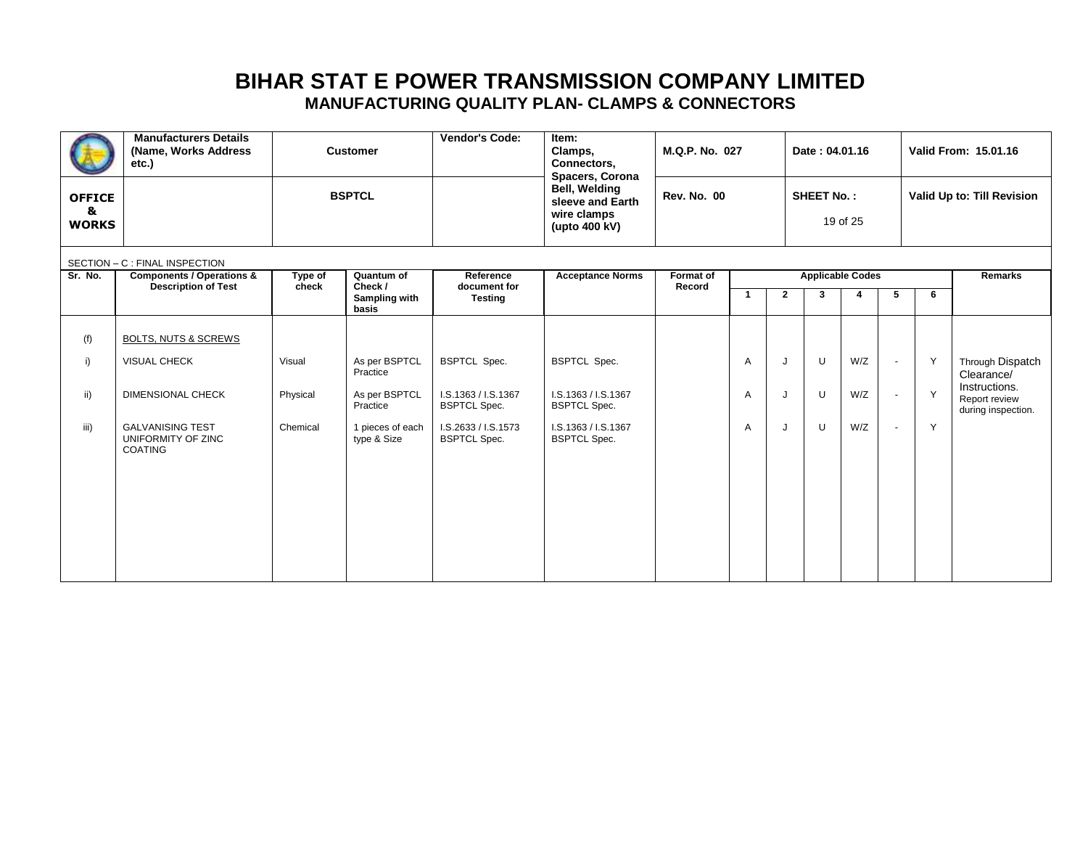|                                    | <b>Manufacturers Details</b><br>(Name, Works Address<br>etc.)      |                  | <b>Customer</b>                 | Vendor's Code:                             | Item:<br>M.Q.P. No. 027<br>Clamps,<br>Connectors,<br>Spacers, Corona<br>Bell, Welding<br><b>Rev. No. 00</b><br>sleeve and Earth<br>wire clamps<br>(upto $400$ kV) |                     |                               |              |                         | Date: 04.01.16 |                            | <b>Valid From: 15.01.16</b> |                                                      |
|------------------------------------|--------------------------------------------------------------------|------------------|---------------------------------|--------------------------------------------|-------------------------------------------------------------------------------------------------------------------------------------------------------------------|---------------------|-------------------------------|--------------|-------------------------|----------------|----------------------------|-----------------------------|------------------------------------------------------|
| <b>OFFICE</b><br>&<br><b>WORKS</b> |                                                                    |                  | <b>BSPTCL</b>                   |                                            |                                                                                                                                                                   |                     | <b>SHEET No.:</b><br>19 of 25 |              |                         |                | Valid Up to: Till Revision |                             |                                                      |
|                                    | SECTION - C : FINAL INSPECTION                                     |                  |                                 |                                            |                                                                                                                                                                   |                     |                               |              |                         |                |                            |                             |                                                      |
| Sr. No.                            | <b>Components / Operations &amp;</b><br><b>Description of Test</b> | Type of<br>check | Quantum of<br>Check /           | Reference<br>document for                  | <b>Acceptance Norms</b>                                                                                                                                           | Format of<br>Record |                               |              | <b>Applicable Codes</b> |                |                            |                             | <b>Remarks</b>                                       |
|                                    |                                                                    |                  | Sampling with<br>basis          | <b>Testing</b>                             |                                                                                                                                                                   |                     | $\mathbf{1}$                  | $\mathbf{2}$ | 3                       | 4              | 5                          | 6                           |                                                      |
|                                    |                                                                    |                  |                                 |                                            |                                                                                                                                                                   |                     |                               |              |                         |                |                            |                             |                                                      |
| (f)                                | <b>BOLTS, NUTS &amp; SCREWS</b>                                    |                  |                                 |                                            |                                                                                                                                                                   |                     |                               |              |                         |                |                            |                             |                                                      |
| i)                                 | VISUAL CHECK                                                       | Visual           | As per BSPTCL<br>Practice       | <b>BSPTCL Spec.</b>                        | <b>BSPTCL Spec.</b>                                                                                                                                               |                     | A                             | J            | U                       | W/Z            | $\overline{\phantom{a}}$   | Y                           | Through Dispatch<br>Clearance/                       |
| ii)                                | DIMENSIONAL CHECK                                                  | Physical         | As per BSPTCL<br>Practice       | I.S.1363 / I.S.1367<br><b>BSPTCL Spec.</b> | I.S.1363 / I.S.1367<br><b>BSPTCL Spec.</b>                                                                                                                        |                     | A                             | J            | U                       | W/Z            | $\overline{\phantom{a}}$   | Y                           | Instructions.<br>Report review<br>during inspection. |
| iii)                               | <b>GALVANISING TEST</b><br>UNIFORMITY OF ZINC<br><b>COATING</b>    | Chemical         | 1 pieces of each<br>type & Size | I.S.2633 / I.S.1573<br><b>BSPTCL Spec.</b> | I.S.1363 / I.S.1367<br><b>BSPTCL Spec.</b>                                                                                                                        |                     | A                             | J            | U                       | W/Z            | $\overline{\phantom{a}}$   | Y                           |                                                      |
|                                    |                                                                    |                  |                                 |                                            |                                                                                                                                                                   |                     |                               |              |                         |                |                            |                             |                                                      |
|                                    |                                                                    |                  |                                 |                                            |                                                                                                                                                                   |                     |                               |              |                         |                |                            |                             |                                                      |
|                                    |                                                                    |                  |                                 |                                            |                                                                                                                                                                   |                     |                               |              |                         |                |                            |                             |                                                      |
|                                    |                                                                    |                  |                                 |                                            |                                                                                                                                                                   |                     |                               |              |                         |                |                            |                             |                                                      |
|                                    |                                                                    |                  |                                 |                                            |                                                                                                                                                                   |                     |                               |              |                         |                |                            |                             |                                                      |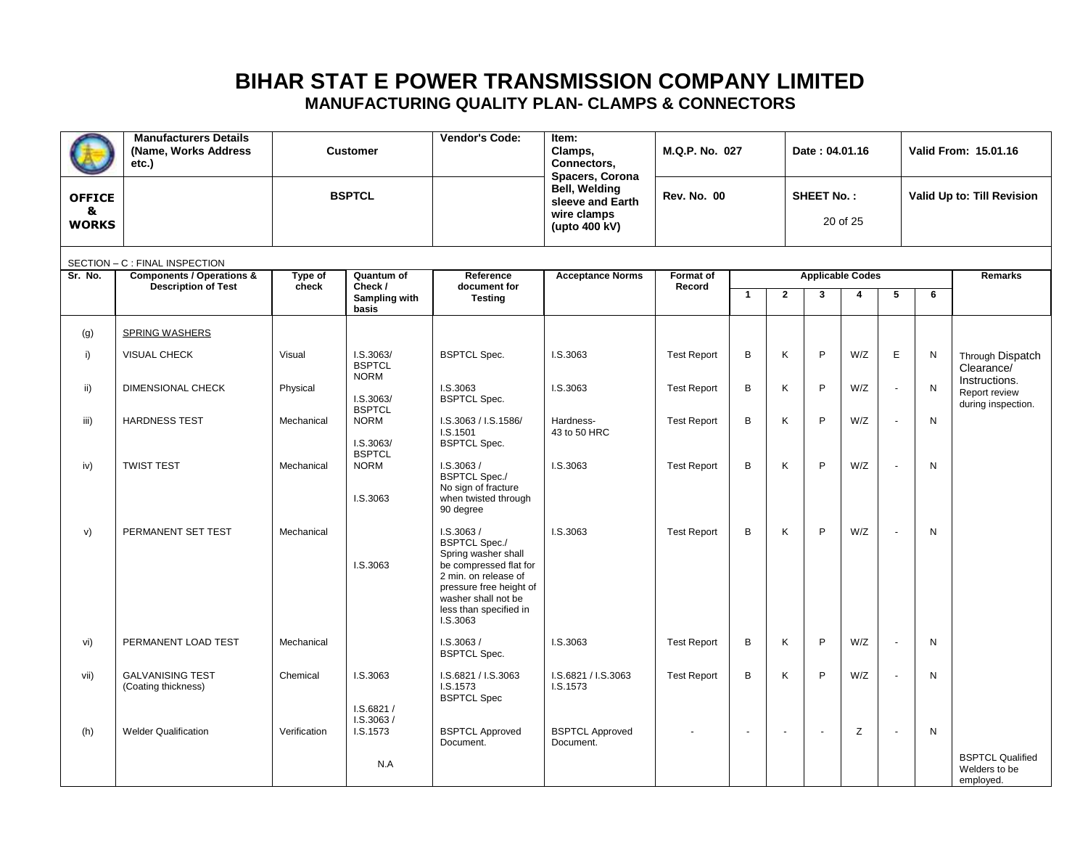|                                    | <b>Manufacturers Details</b><br>(Name, Works Address<br>etc.)      |                  | <b>Customer</b>                                 | Vendor's Code:                                                                                                                                                                                     | Item:<br>Clamps,<br>Connectors,<br>Spacers, Corona | M.Q.P. No. 027      |                          |                | Date: 04.01.16    |                              |                |                            | Valid From: 15.01.16                                  |  |
|------------------------------------|--------------------------------------------------------------------|------------------|-------------------------------------------------|----------------------------------------------------------------------------------------------------------------------------------------------------------------------------------------------------|----------------------------------------------------|---------------------|--------------------------|----------------|-------------------|------------------------------|----------------|----------------------------|-------------------------------------------------------|--|
| <b>OFFICE</b><br>&<br><b>WORKS</b> |                                                                    |                  | <b>BSPTCL</b>                                   | <b>Bell, Welding</b><br>sleeve and Earth<br>wire clamps<br>(upto 400 kV)                                                                                                                           |                                                    | <b>Rev. No. 00</b>  |                          |                | <b>SHEET No.:</b> | 20 of 25                     |                | Valid Up to: Till Revision |                                                       |  |
|                                    | SECTION - C : FINAL INSPECTION                                     |                  |                                                 |                                                                                                                                                                                                    |                                                    |                     |                          |                |                   |                              |                |                            |                                                       |  |
| Sr. No.                            | <b>Components / Operations &amp;</b><br><b>Description of Test</b> | Type of<br>check | Quantum of<br>Check /<br>Sampling with<br>basis | Reference<br>document for<br><b>Testing</b>                                                                                                                                                        | <b>Acceptance Norms</b>                            | Format of<br>Record | $\mathbf{1}$             | $\overline{2}$ | 3                 | <b>Applicable Codes</b><br>4 | 5              | 6                          | <b>Remarks</b>                                        |  |
| (g)                                | <b>SPRING WASHERS</b>                                              |                  |                                                 |                                                                                                                                                                                                    |                                                    |                     |                          |                |                   |                              |                |                            |                                                       |  |
| i)                                 | <b>VISUAL CHECK</b>                                                | Visual           | 1. S. 3063/<br><b>BSPTCL</b><br><b>NORM</b>     | <b>BSPTCL Spec.</b>                                                                                                                                                                                | I.S.3063                                           | <b>Test Report</b>  | B                        | Κ              | P                 | W/Z                          | $\mathsf E$    | N                          | Through Dispatch<br>Clearance/                        |  |
| ii)                                | DIMENSIONAL CHECK                                                  | Physical         | I.S.3063/<br><b>BSPTCL</b>                      | I.S.3063<br><b>BSPTCL Spec.</b>                                                                                                                                                                    | I.S.3063                                           | <b>Test Report</b>  | B                        | Κ              | P                 | W/Z                          | $\sim$         | N                          | Instructions.<br>Report review<br>during inspection.  |  |
| iii)                               | <b>HARDNESS TEST</b>                                               | Mechanical       | <b>NORM</b><br>I.S.3063/                        | I.S.3063 / I.S.1586/<br>I.S.1501<br><b>BSPTCL Spec.</b>                                                                                                                                            | Hardness-<br>43 to 50 HRC                          | <b>Test Report</b>  | B                        | K              | P                 | W/Z                          |                | N                          |                                                       |  |
| iv)                                | <b>TWIST TEST</b>                                                  | Mechanical       | <b>BSPTCL</b><br><b>NORM</b><br>I.S.3063        | I.S.3063/<br><b>BSPTCL Spec./</b><br>No sign of fracture<br>when twisted through<br>90 degree                                                                                                      | I.S.3063                                           | <b>Test Report</b>  | B                        | Κ              | P                 | W/Z                          |                | N                          |                                                       |  |
| V)                                 | PERMANENT SET TEST                                                 | Mechanical       | I.S.3063                                        | I.S.3063/<br><b>BSPTCL Spec./</b><br>Spring washer shall<br>be compressed flat for<br>2 min. on release of<br>pressure free height of<br>washer shall not be<br>less than specified in<br>I.S.3063 | I.S.3063                                           | <b>Test Report</b>  | B                        | Κ              | P                 | W/Z                          | $\sim$         | N                          |                                                       |  |
| vi)                                | PERMANENT LOAD TEST                                                | Mechanical       |                                                 | I.S.3063/<br><b>BSPTCL Spec.</b>                                                                                                                                                                   | I.S.3063                                           | <b>Test Report</b>  | B                        | Κ              | P                 | W/Z                          | $\overline{a}$ | N                          |                                                       |  |
| vii)                               | <b>GALVANISING TEST</b><br>(Coating thickness)                     | Chemical         | I.S.3063<br>1. S.6821/<br>LS.3063/              | I.S.6821 / I.S.3063<br>I.S.1573<br><b>BSPTCL Spec</b>                                                                                                                                              | I.S.6821 / I.S.3063<br>I.S.1573                    | <b>Test Report</b>  | B                        | Κ              | P                 | W/Z                          |                | N                          |                                                       |  |
| (h)                                | <b>Welder Qualification</b>                                        | Verification     | I.S.1573                                        | <b>BSPTCL Approved</b><br>Document.                                                                                                                                                                | <b>BSPTCL Approved</b><br>Document.                |                     | $\overline{\phantom{a}}$ | $\overline{a}$ | ÷,                | Z                            | $\sim$         | N                          |                                                       |  |
|                                    |                                                                    |                  | N.A                                             |                                                                                                                                                                                                    |                                                    |                     |                          |                |                   |                              |                |                            | <b>BSPTCL Qualified</b><br>Welders to be<br>employed. |  |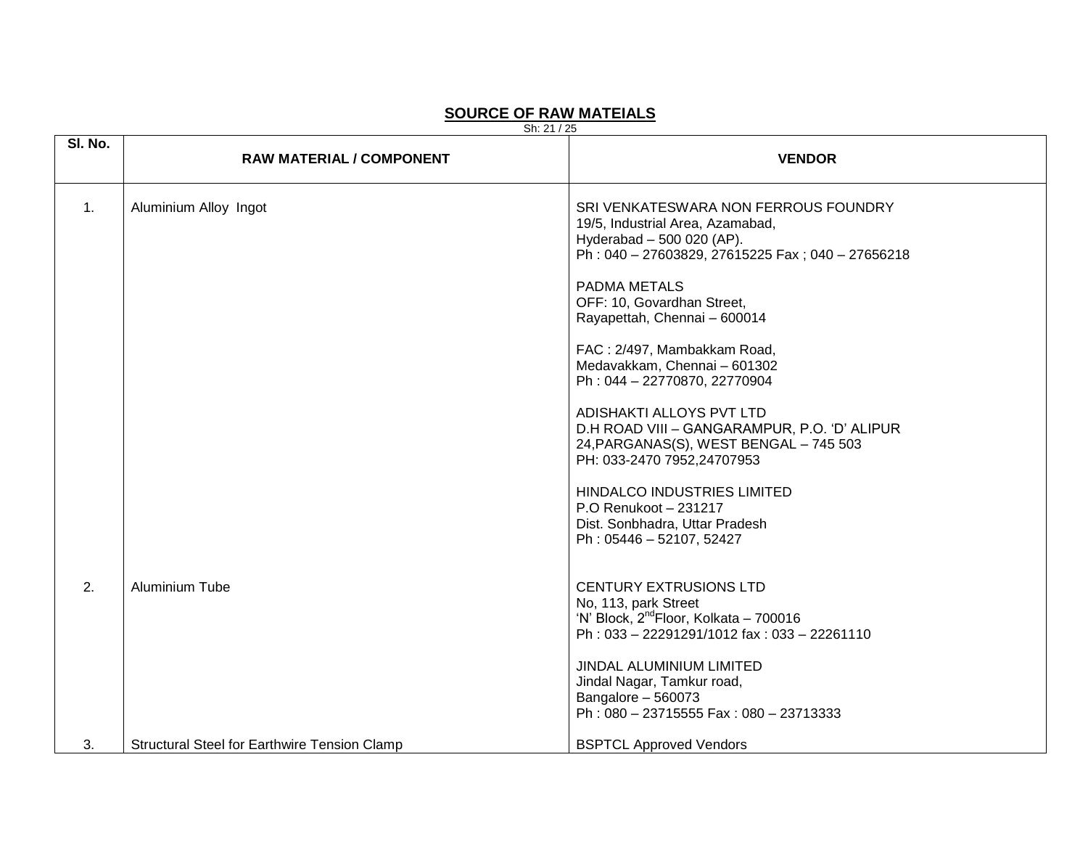#### **SOURCE OF RAW MATEIALS**

Sh: 21 / 25

| SI. No.        | <b>RAW MATERIAL / COMPONENT</b>                     | <b>VENDOR</b>                                                                                                                                                                                                                                                                                                                                                                                                                                                                                                                                                                                                  |
|----------------|-----------------------------------------------------|----------------------------------------------------------------------------------------------------------------------------------------------------------------------------------------------------------------------------------------------------------------------------------------------------------------------------------------------------------------------------------------------------------------------------------------------------------------------------------------------------------------------------------------------------------------------------------------------------------------|
| $\mathbf{1}$ . | Aluminium Alloy Ingot                               | SRI VENKATESWARA NON FERROUS FOUNDRY<br>19/5, Industrial Area, Azamabad,<br>Hyderabad - 500 020 (AP).<br>Ph: 040 - 27603829, 27615225 Fax; 040 - 27656218<br>PADMA METALS<br>OFF: 10, Govardhan Street,<br>Rayapettah, Chennai - 600014<br>FAC: 2/497, Mambakkam Road,<br>Medavakkam, Chennai - 601302<br>Ph: 044-22770870, 22770904<br>ADISHAKTI ALLOYS PVT LTD<br>D.H ROAD VIII - GANGARAMPUR, P.O. 'D' ALIPUR<br>24, PARGANAS(S), WEST BENGAL - 745 503<br>PH: 033-2470 7952,24707953<br>HINDALCO INDUSTRIES LIMITED<br>P.O Renukoot - 231217<br>Dist. Sonbhadra, Uttar Pradesh<br>Ph: 05446 - 52107, 52427 |
| 2.             | <b>Aluminium Tube</b>                               | <b>CENTURY EXTRUSIONS LTD</b><br>No, 113, park Street<br>'N' Block, 2 <sup>nd</sup> Floor, Kolkata - 700016<br>Ph: 033 - 22291291/1012 fax: 033 - 22261110<br>JINDAL ALUMINIUM LIMITED<br>Jindal Nagar, Tamkur road,<br>Bangalore - 560073<br>Ph: 080 - 23715555 Fax: 080 - 23713333                                                                                                                                                                                                                                                                                                                           |
| 3.             | <b>Structural Steel for Earthwire Tension Clamp</b> | <b>BSPTCL Approved Vendors</b>                                                                                                                                                                                                                                                                                                                                                                                                                                                                                                                                                                                 |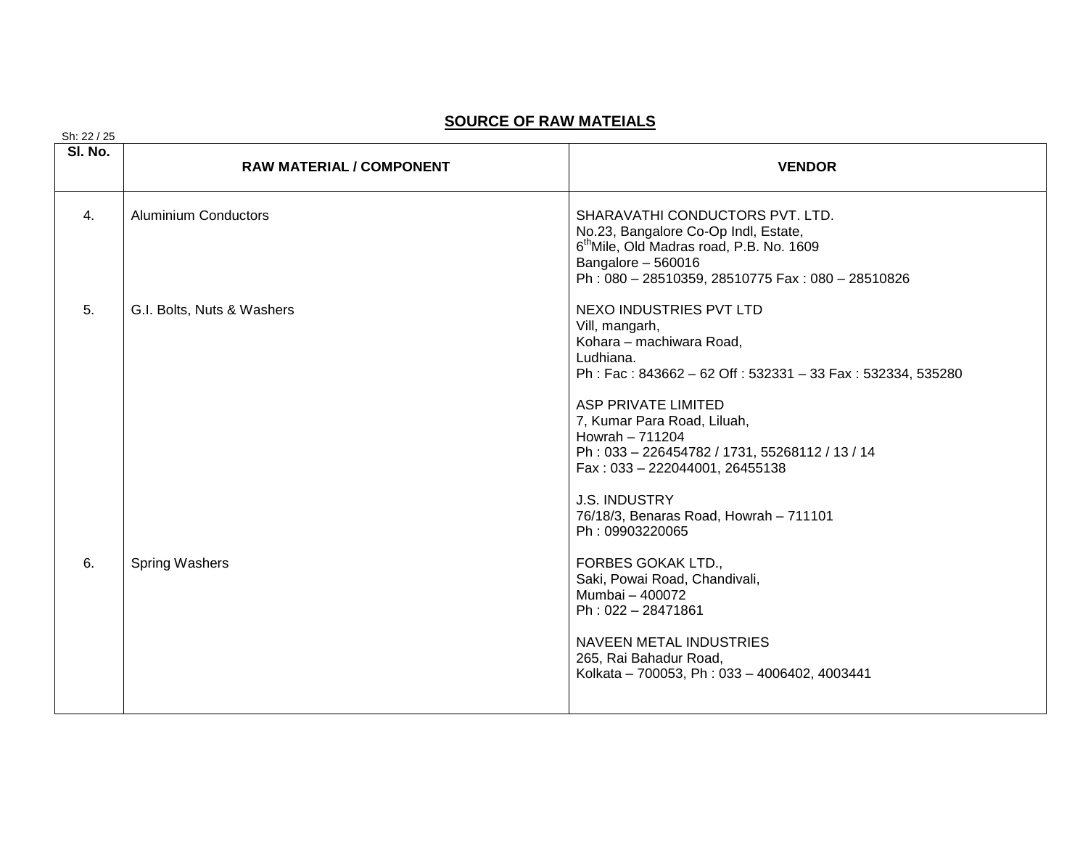#### **SOURCE OF RAW MATEIALS**

| Sh: 22 / 25 |                                 |                                                                                                                                                                                                                                                                                                                                                                                                         |
|-------------|---------------------------------|---------------------------------------------------------------------------------------------------------------------------------------------------------------------------------------------------------------------------------------------------------------------------------------------------------------------------------------------------------------------------------------------------------|
| SI. No.     | <b>RAW MATERIAL / COMPONENT</b> | <b>VENDOR</b>                                                                                                                                                                                                                                                                                                                                                                                           |
| 4.          | <b>Aluminium Conductors</b>     | SHARAVATHI CONDUCTORS PVT. LTD.<br>No.23, Bangalore Co-Op Indl, Estate,<br>6 <sup>th</sup> Mile, Old Madras road, P.B. No. 1609<br>Bangalore - 560016<br>Ph: 080 - 28510359, 28510775 Fax: 080 - 28510826                                                                                                                                                                                               |
| 5.          | G.I. Bolts, Nuts & Washers      | NEXO INDUSTRIES PVT LTD<br>Vill, mangarh,<br>Kohara - machiwara Road,<br>Ludhiana.<br>Ph: Fac: 843662 - 62 Off: 532331 - 33 Fax: 532334, 535280<br><b>ASP PRIVATE LIMITED</b><br>7, Kumar Para Road, Liluah,<br>Howrah $-711204$<br>Ph: 033-226454782 / 1731, 55268112 / 13 / 14<br>Fax: 033 - 222044001, 26455138<br><b>J.S. INDUSTRY</b><br>76/18/3, Benaras Road, Howrah - 711101<br>Ph: 09903220065 |
| 6.          | Spring Washers                  | FORBES GOKAK LTD.,<br>Saki, Powai Road, Chandivali,<br>Mumbai - 400072<br>Ph: 022 - 28471861<br><b>NAVEEN METAL INDUSTRIES</b><br>265, Rai Bahadur Road,<br>Kolkata - 700053, Ph: 033 - 4006402, 4003441                                                                                                                                                                                                |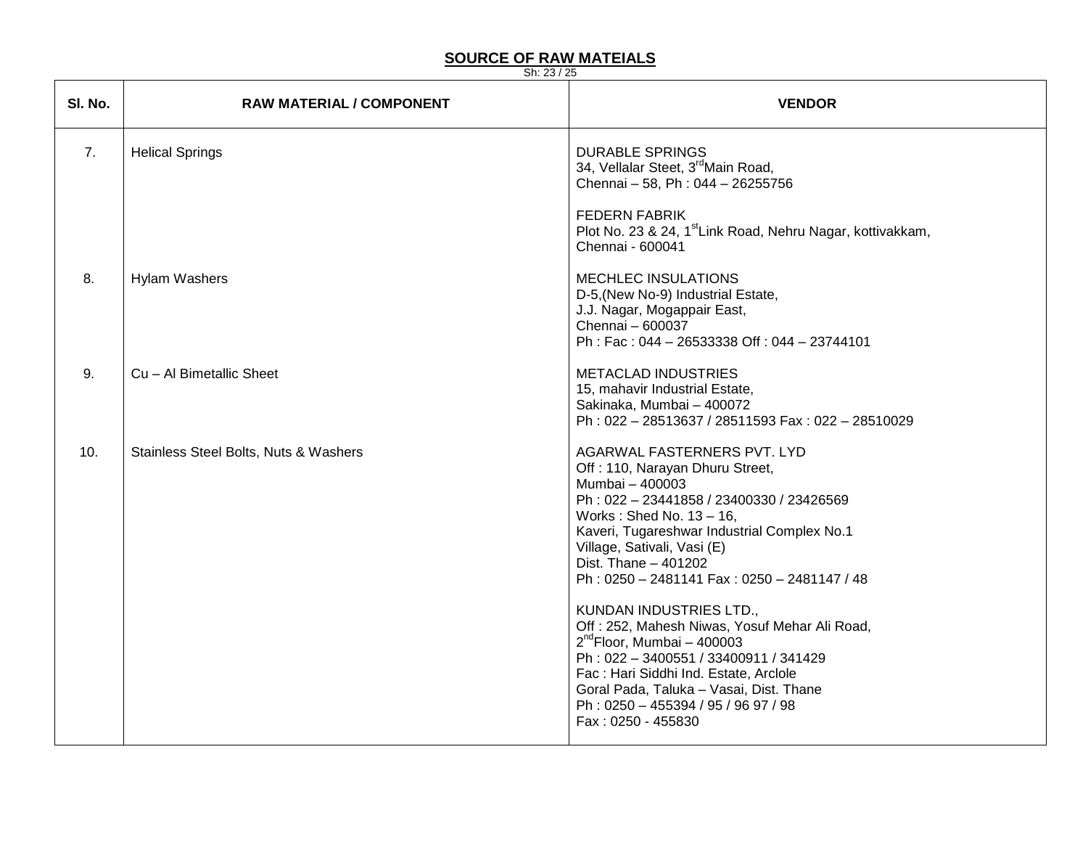#### **SOURCE OF RAW MATEIALS**

Sh: 23 / 25

┯

| SI. No.        | <b>RAW MATERIAL / COMPONENT</b>       | <b>VENDOR</b>                                                                                                                                                                                                                                                                                                                                                                                                                                                                                                                                                                                                          |
|----------------|---------------------------------------|------------------------------------------------------------------------------------------------------------------------------------------------------------------------------------------------------------------------------------------------------------------------------------------------------------------------------------------------------------------------------------------------------------------------------------------------------------------------------------------------------------------------------------------------------------------------------------------------------------------------|
| 7 <sub>1</sub> | <b>Helical Springs</b>                | <b>DURABLE SPRINGS</b><br>34, Vellalar Steet, 3 <sup>rd</sup> Main Road,<br>Chennai - 58, Ph: 044 - 26255756                                                                                                                                                                                                                                                                                                                                                                                                                                                                                                           |
|                |                                       | <b>FEDERN FABRIK</b><br>Plot No. 23 & 24, 1 <sup>st</sup> Link Road, Nehru Nagar, kottivakkam,<br>Chennai - 600041                                                                                                                                                                                                                                                                                                                                                                                                                                                                                                     |
| 8.             | <b>Hylam Washers</b>                  | <b>MECHLEC INSULATIONS</b><br>D-5, (New No-9) Industrial Estate,<br>J.J. Nagar, Mogappair East,<br>Chennai - 600037<br>Ph: Fac: 044 - 26533338 Off: 044 - 23744101                                                                                                                                                                                                                                                                                                                                                                                                                                                     |
| 9.             | Cu - Al Bimetallic Sheet              | <b>METACLAD INDUSTRIES</b><br>15, mahavir Industrial Estate,<br>Sakinaka, Mumbai - 400072<br>Ph: 022-28513637 / 28511593 Fax: 022-28510029                                                                                                                                                                                                                                                                                                                                                                                                                                                                             |
| 10.            | Stainless Steel Bolts, Nuts & Washers | AGARWAL FASTERNERS PVT. LYD<br>Off: 110, Narayan Dhuru Street,<br>Mumbai - 400003<br>Ph: 022-23441858 / 23400330 / 23426569<br>Works: Shed No. $13 - 16$ ,<br>Kaveri, Tugareshwar Industrial Complex No.1<br>Village, Sativali, Vasi (E)<br>Dist. Thane - 401202<br>Ph: 0250 - 2481141 Fax: 0250 - 2481147 / 48<br>KUNDAN INDUSTRIES LTD.,<br>Off: 252, Mahesh Niwas, Yosuf Mehar Ali Road,<br>$2^{nd}$ Floor, Mumbai - 400003<br>Ph: 022-3400551 / 33400911 / 341429<br>Fac: Hari Siddhi Ind. Estate, Arclole<br>Goral Pada, Taluka - Vasai, Dist. Thane<br>Ph: 0250 - 455394 / 95 / 96 97 / 98<br>Fax: 0250 - 455830 |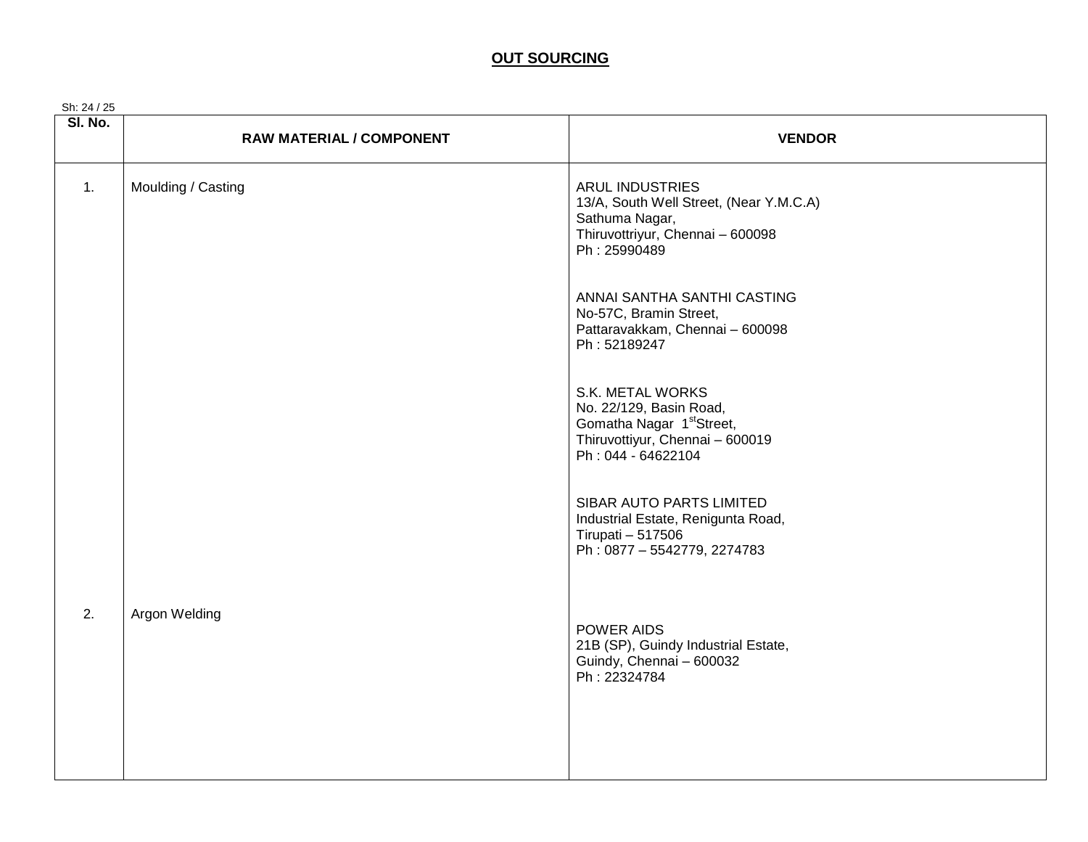#### **OUT SOURCING**

| Sh: 24 / 25      |                                 |                                                                                                                                               |
|------------------|---------------------------------|-----------------------------------------------------------------------------------------------------------------------------------------------|
| SI. No.          | <b>RAW MATERIAL / COMPONENT</b> | <b>VENDOR</b>                                                                                                                                 |
| $\overline{1}$ . | Moulding / Casting              | <b>ARUL INDUSTRIES</b><br>13/A, South Well Street, (Near Y.M.C.A)<br>Sathuma Nagar,<br>Thiruvottriyur, Chennai - 600098<br>Ph: 25990489       |
|                  |                                 | ANNAI SANTHA SANTHI CASTING<br>No-57C, Bramin Street,<br>Pattaravakkam, Chennai - 600098<br>Ph: 52189247                                      |
|                  |                                 | S.K. METAL WORKS<br>No. 22/129, Basin Road,<br>Gomatha Nagar 1 <sup>st</sup> Street,<br>Thiruvottiyur, Chennai - 600019<br>Ph: 044 - 64622104 |
|                  |                                 | SIBAR AUTO PARTS LIMITED<br>Industrial Estate, Renigunta Road,<br>Tirupati - 517506<br>Ph: 0877 - 5542779, 2274783                            |
| 2.               | Argon Welding                   | POWER AIDS<br>21B (SP), Guindy Industrial Estate,<br>Guindy, Chennai - 600032<br>Ph: 22324784                                                 |
|                  |                                 |                                                                                                                                               |